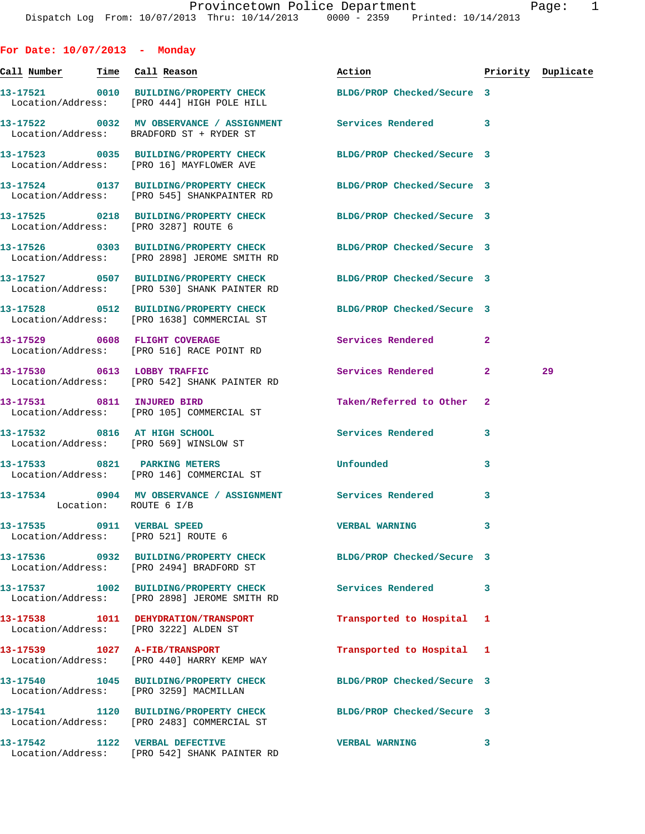| For Date: $10/07/2013$ - Monday                                   |                                                                                                                 |                            |                |                    |
|-------------------------------------------------------------------|-----------------------------------------------------------------------------------------------------------------|----------------------------|----------------|--------------------|
| <u>Call Number — Time Call Reason</u>                             |                                                                                                                 | Action                     |                | Priority Duplicate |
|                                                                   | 13-17521 0010 BUILDING/PROPERTY CHECK BLDG/PROP Checked/Secure 3<br>Location/Address: [PRO 444] HIGH POLE HILL  |                            |                |                    |
|                                                                   | 13-17522 0032 MV OBSERVANCE / ASSIGNMENT Services Rendered<br>Location/Address: BRADFORD ST + RYDER ST          |                            | 3              |                    |
|                                                                   | 13-17523 0035 BUILDING/PROPERTY CHECK BLDG/PROP Checked/Secure 3<br>Location/Address: [PRO 16] MAYFLOWER AVE    |                            |                |                    |
|                                                                   | 13-17524 0137 BUILDING/PROPERTY CHECK BLDG/PROP Checked/Secure 3<br>Location/Address: [PRO 545] SHANKPAINTER RD |                            |                |                    |
| Location/Address: [PRO 3287] ROUTE 6                              | 13-17525 0218 BUILDING/PROPERTY CHECK BLDG/PROP Checked/Secure 3                                                |                            |                |                    |
|                                                                   | 13-17526 0303 BUILDING/PROPERTY CHECK<br>Location/Address: [PRO 2898] JEROME SMITH RD                           | BLDG/PROP Checked/Secure 3 |                |                    |
|                                                                   | 13-17527 0507 BUILDING/PROPERTY CHECK<br>Location/Address: [PRO 530] SHANK PAINTER RD                           | BLDG/PROP Checked/Secure 3 |                |                    |
|                                                                   | 13-17528 0512 BUILDING/PROPERTY CHECK<br>Location/Address: [PRO 1638] COMMERCIAL ST                             | BLDG/PROP Checked/Secure 3 |                |                    |
|                                                                   | 13-17529 0608 FLIGHT COVERAGE<br>Location/Address: [PRO 516] RACE POINT RD                                      | Services Rendered          | $\mathbf{2}$   |                    |
|                                                                   | 13-17530 0613 LOBBY TRAFFIC<br>Location/Address: [PRO 542] SHANK PAINTER RD                                     | Services Rendered          | $\overline{a}$ | 29                 |
| 13-17531 0811 INJURED BIRD                                        | Location/Address: [PRO 105] COMMERCIAL ST                                                                       | Taken/Referred to Other    | $\overline{2}$ |                    |
|                                                                   | 13-17532 0816 AT HIGH SCHOOL<br>Location/Address: [PRO 569] WINSLOW ST                                          | <b>Services Rendered</b>   | 3              |                    |
|                                                                   | 13-17533 0821 PARKING METERS<br>Location/Address: [PRO 146] COMMERCIAL ST                                       | Unfounded                  | 3              |                    |
| Location: ROUTE 6 I/B                                             | 13-17534 0904 MV OBSERVANCE / ASSIGNMENT Services Rendered                                                      |                            | 3              |                    |
| 13-17535 0911 VERBAL SPEED<br>Location/Address: [PRO 521] ROUTE 6 |                                                                                                                 | <b>VERBAL WARNING</b>      | 3              |                    |
|                                                                   | 13-17536 0932 BUILDING/PROPERTY CHECK<br>Location/Address: [PRO 2494] BRADFORD ST                               | BLDG/PROP Checked/Secure 3 |                |                    |
|                                                                   | 13-17537 1002 BUILDING/PROPERTY CHECK<br>Location/Address: [PRO 2898] JEROME SMITH RD                           | Services Rendered          | 3              |                    |
|                                                                   | 13-17538 1011 DEHYDRATION/TRANSPORT<br>Location/Address: [PRO 3222] ALDEN ST                                    | Transported to Hospital    | 1              |                    |
|                                                                   | 13-17539 1027 A-FIB/TRANSPORT<br>Location/Address: [PRO 440] HARRY KEMP WAY                                     | Transported to Hospital    | 1              |                    |
|                                                                   | 13-17540 1045 BUILDING/PROPERTY CHECK<br>Location/Address: [PRO 3259] MACMILLAN                                 | BLDG/PROP Checked/Secure 3 |                |                    |
|                                                                   | 13-17541 1120 BUILDING/PROPERTY CHECK BLDG/PROP Checked/Secure 3<br>Location/Address: [PRO 2483] COMMERCIAL ST  |                            |                |                    |
| 13-17542 1122 VERBAL DEFECTIVE                                    | Location/Address: [PRO 542] SHANK PAINTER RD                                                                    | <b>VERBAL WARNING</b>      | 3              |                    |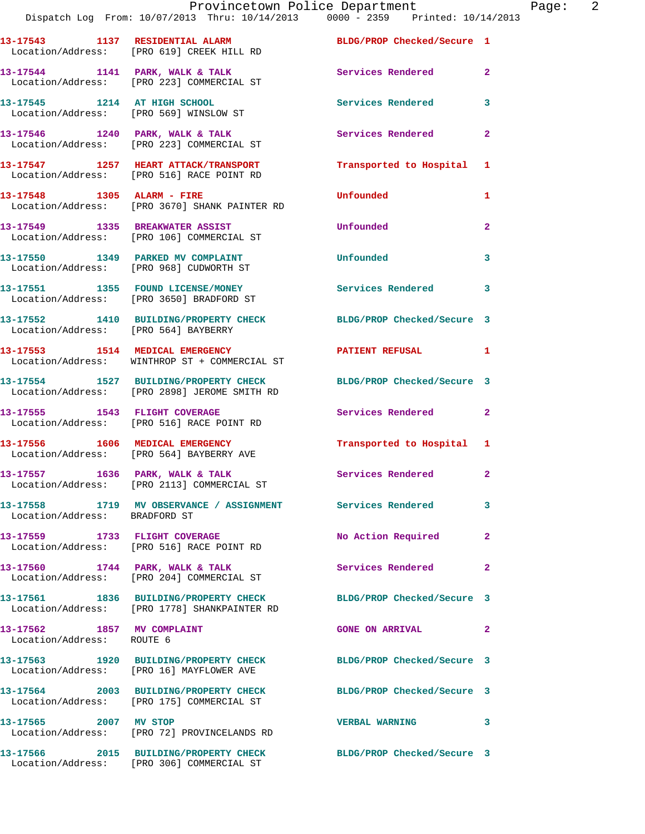|                                                         | Dispatch Log From: 10/07/2013 Thru: 10/14/2013 0000 - 2359 Printed: 10/14/2013                                    | Provincetown Police Department | Page: 2        |
|---------------------------------------------------------|-------------------------------------------------------------------------------------------------------------------|--------------------------------|----------------|
|                                                         | 13-17543 1137 RESIDENTIAL ALARM BLDG/PROP Checked/Secure 1<br>Location/Address: [PRO 619] CREEK HILL RD           |                                |                |
|                                                         | 13-17544 1141 PARK, WALK & TALK 1141 CONTROLLER Services Rendered 2<br>Location/Address: [PRO 223] COMMERCIAL ST  |                                |                |
|                                                         | 13-17545 1214 AT HIGH SCHOOL<br>Location/Address: [PRO 569] WINSLOW ST                                            | Services Rendered              | $\mathbf{3}$   |
|                                                         | 13-17546 1240 PARK, WALK & TALK<br>Location/Address: [PRO 223] COMMERCIAL ST                                      | Services Rendered              | $\mathbf{2}$   |
|                                                         | 13-17547   1257   HEART ATTACK/TRANSPORT   IT ansported to Hospital 1   Location/Address: [PRO 516] RACE POINT RD |                                |                |
|                                                         | 13-17548 1305 ALARM - FIRE<br>Location/Address: [PRO 3670] SHANK PAINTER RD                                       | Unfounded                      | 1              |
|                                                         | 13-17549 1335 BREAKWATER ASSIST<br>Location/Address: [PRO 106] COMMERCIAL ST                                      | Unfounded                      | $\mathbf{2}$   |
|                                                         | 13-17550 1349 PARKED MV COMPLAINT<br>Location/Address: [PRO 968] CUDWORTH ST                                      | Unfounded                      | 3              |
|                                                         | 13-17551 1355 FOUND LICENSE/MONEY 1 Services Rendered 3<br>Location/Address: [PRO 3650] BRADFORD ST               |                                |                |
| Location/Address: [PRO 564] BAYBERRY                    | 13-17552 1410 BUILDING/PROPERTY CHECK BLDG/PROP Checked/Secure 3                                                  |                                |                |
|                                                         | 13-17553 1514 MEDICAL EMERGENCY 1 PATIENT REFUSAL 1<br>Location/Address: WINTHROP ST + COMMERCIAL ST              |                                |                |
|                                                         | 13-17554 1527 BUILDING/PROPERTY CHECK BLDG/PROP Checked/Secure 3<br>Location/Address: [PRO 2898] JEROME SMITH RD  |                                |                |
|                                                         | 13-17555 1543 FLIGHT COVERAGE<br>Location/Address: [PRO 516] RACE POINT RD                                        | Services Rendered 2            |                |
|                                                         | 13-17556 1606 MEDICAL EMERGENCY<br>Location/Address: [PRO 564] BAYBERRY AVE                                       | Transported to Hospital 1      |                |
|                                                         | 13-17557 1636 PARK, WALK & TALK<br>Location/Address: [PRO 2113] COMMERCIAL ST                                     | Services Rendered              |                |
| Location/Address: BRADFORD ST                           | 13-17558 1719 MV OBSERVANCE / ASSIGNMENT Services Rendered                                                        |                                | 3              |
|                                                         | 13-17559 1733 FLIGHT COVERAGE<br>Location/Address: [PRO 516] RACE POINT RD                                        | No Action Required             | $\mathbf{2}$   |
|                                                         | 13-17560 1744 PARK, WALK & TALK<br>Location/Address: [PRO 204] COMMERCIAL ST                                      | Services Rendered              | $\overline{2}$ |
|                                                         | 13-17561 1836 BUILDING/PROPERTY CHECK BLDG/PROP Checked/Secure 3<br>Location/Address: [PRO 1778] SHANKPAINTER RD  |                                |                |
| 13-17562 1857 MV COMPLAINT<br>Location/Address: ROUTE 6 |                                                                                                                   | <b>GONE ON ARRIVAL</b>         | $\mathbf{2}$   |
|                                                         | 13-17563 1920 BUILDING/PROPERTY CHECK BLDG/PROP Checked/Secure 3<br>Location/Address: [PRO 16] MAYFLOWER AVE      |                                |                |
|                                                         | 13-17564 2003 BUILDING/PROPERTY CHECK BLDG/PROP Checked/Secure 3<br>Location/Address: [PRO 175] COMMERCIAL ST     |                                |                |
| 13-17565 2007 MV STOP                                   | Location/Address: [PRO 72] PROVINCELANDS RD                                                                       | VERBAL WARNING 3               |                |
|                                                         | 13-17566 2015 BUILDING/PROPERTY CHECK BLDG/PROP Checked/Secure 3                                                  |                                |                |

Location/Address: [PRO 306] COMMERCIAL ST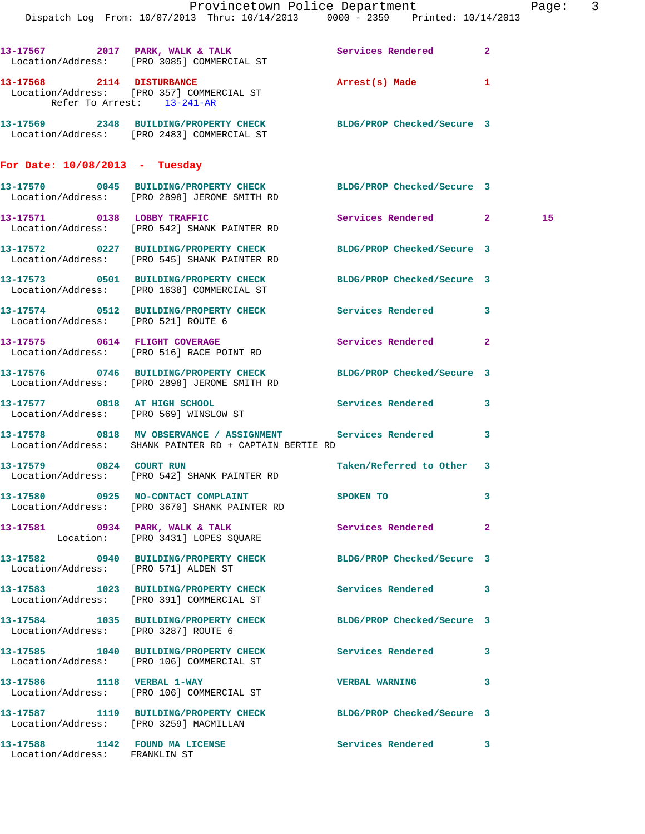|                                        | Dispatch Log From: 10/07/2013 Thru: 10/14/2013 0000 - 2359 Printed: 10/14/2013                                         | Provincetown Police Department |              | Page: 3 |  |
|----------------------------------------|------------------------------------------------------------------------------------------------------------------------|--------------------------------|--------------|---------|--|
|                                        | 13-17567 2017 PARK, WALK & TALK Services Rendered 2<br>Location/Address: [PRO 3085] COMMERCIAL ST                      |                                |              |         |  |
| Refer To Arrest: 13-241-AR             | 13-17568 2114 DISTURBANCE<br>Location/Address: [PRO 357] COMMERCIAL ST                                                 | Arrest(s) Made                 | 1            |         |  |
|                                        | 13-17569 2348 BUILDING/PROPERTY CHECK BLDG/PROP Checked/Secure 3<br>Location/Address: [PRO 2483] COMMERCIAL ST         |                                |              |         |  |
| For Date: $10/08/2013$ - Tuesday       |                                                                                                                        |                                |              |         |  |
|                                        | 13-17570 0045 BUILDING/PROPERTY CHECK BLDG/PROP Checked/Secure 3<br>Location/Address: [PRO 2898] JEROME SMITH RD       |                                |              |         |  |
|                                        | 13-17571 0138 LOBBY TRAFFIC<br>Location/Address: [PRO 542] SHANK PAINTER RD                                            | Services Rendered 2            |              | 15      |  |
|                                        | 13-17572 0227 BUILDING/PROPERTY CHECK<br>Location/Address: [PRO 545] SHANK PAINTER RD                                  | BLDG/PROP Checked/Secure 3     |              |         |  |
|                                        | 13-17573 0501 BUILDING/PROPERTY CHECK<br>Location/Address: [PRO 1638] COMMERCIAL ST                                    | BLDG/PROP Checked/Secure 3     |              |         |  |
|                                        | 13-17574 0512 BUILDING/PROPERTY CHECK Services Rendered 3<br>Location/Address: [PRO 521] ROUTE 6                       |                                |              |         |  |
|                                        | 13-17575 0614 FLIGHT COVERAGE<br>Location/Address: [PRO 516] RACE POINT RD                                             | Services Rendered              | $\mathbf{2}$ |         |  |
|                                        | 13-17576 0746 BUILDING/PROPERTY CHECK<br>Location/Address: [PRO 2898] JEROME SMITH RD                                  | BLDG/PROP Checked/Secure 3     |              |         |  |
|                                        | 13-17577 0818 AT HIGH SCHOOL<br>Location/Address: [PRO 569] WINSLOW ST                                                 | Services Rendered 3            |              |         |  |
|                                        | 13-17578 0818 MV OBSERVANCE / ASSIGNMENT Services Rendered 3<br>Location/Address: SHANK PAINTER RD + CAPTAIN BERTIE RD |                                |              |         |  |
| 13-17579 0824 COURT RUN                | Location/Address: [PRO 542] SHANK PAINTER RD                                                                           | Taken/Referred to Other 3      |              |         |  |
|                                        | 13-17580 0925 NO-CONTACT COMPLAINT SPOKEN TO<br>Location/Address: [PRO 3670] SHANK PAINTER RD                          |                                | 3            |         |  |
|                                        | 13-17581 0934 PARK, WALK & TALK<br>Location: [PRO 3431] LOPES SQUARE                                                   | Services Rendered 2            |              |         |  |
|                                        | 13-17582 0940 BUILDING/PROPERTY CHECK BLDG/PROP Checked/Secure 3<br>Location/Address: [PRO 571] ALDEN ST               |                                |              |         |  |
|                                        | 13-17583 1023 BUILDING/PROPERTY CHECK Services Rendered 3<br>Location/Address: [PRO 391] COMMERCIAL ST                 |                                |              |         |  |
| Location/Address: [PRO 3287] ROUTE 6   | 13-17584 1035 BUILDING/PROPERTY CHECK BLDG/PROP Checked/Secure 3                                                       |                                |              |         |  |
|                                        | 13-17585 1040 BUILDING/PROPERTY CHECK Services Rendered 3<br>Location/Address: [PRO 106] COMMERCIAL ST                 |                                |              |         |  |
|                                        | 13-17586 1118 VERBAL 1-WAY<br>Location/Address: [PRO 106] COMMERCIAL ST                                                | <b>VERBAL WARNING</b>          | 3            |         |  |
| Location/Address: [PRO 3259] MACMILLAN | 13-17587 1119 BUILDING/PROPERTY CHECK                                                                                  | BLDG/PROP Checked/Secure 3     |              |         |  |
| Location/Address: FRANKLIN ST          | 13-17588 1142 FOUND MA LICENSE                                                                                         | Services Rendered 3            |              |         |  |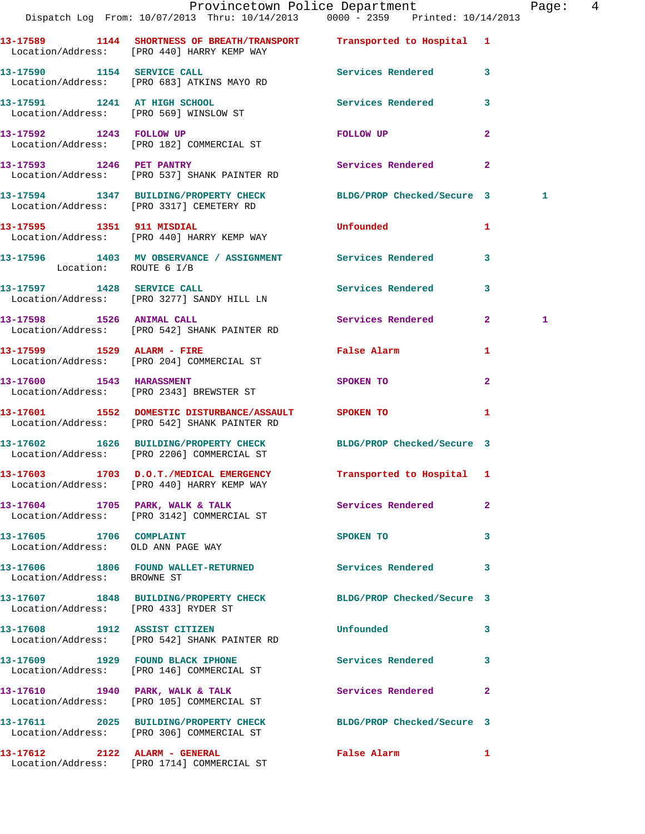|                                      | Dispatch Log From: 10/07/2013 Thru: 10/14/2013 0000 - 2359 Printed: 10/14/2013                                      | Provincetown Police Department              |                | Page:  4 |  |
|--------------------------------------|---------------------------------------------------------------------------------------------------------------------|---------------------------------------------|----------------|----------|--|
|                                      | 13-17589 1144 SHORTNESS OF BREATH/TRANSPORT Transported to Hospital 1<br>Location/Address: [PRO 440] HARRY KEMP WAY |                                             |                |          |  |
| 13-17590 1154 SERVICE CALL           | Location/Address: [PRO 683] ATKINS MAYO RD                                                                          | Services Rendered 3                         |                |          |  |
|                                      | 13-17591 1241 AT HIGH SCHOOL<br>Location/Address: [PRO 569] WINSLOW ST                                              | Services Rendered                           | 3              |          |  |
|                                      | 13-17592 1243 FOLLOW UP<br>Location/Address: [PRO 182] COMMERCIAL ST                                                | FOLLOW UP                                   | $\overline{a}$ |          |  |
|                                      | 13-17593 1246 PET PANTRY<br>Location/Address: [PRO 537] SHANK PAINTER RD                                            | Services Rendered 2                         |                |          |  |
|                                      | 13-17594 1347 BUILDING/PROPERTY CHECK BLDG/PROP Checked/Secure 3<br>Location/Address: [PRO 3317] CEMETERY RD        |                                             |                | 1        |  |
|                                      | 13-17595 1351 911 MISDIAL<br>Location/Address: [PRO 440] HARRY KEMP WAY                                             | <b>Unfounded</b>                            | $\mathbf{1}$   |          |  |
| Location: ROUTE 6 I/B                | 13-17596 1403 MV OBSERVANCE / ASSIGNMENT Services Rendered                                                          |                                             | 3              |          |  |
|                                      | 13-17597 1428 SERVICE CALL<br>Location/Address: [PRO 3277] SANDY HILL LN                                            | Services Rendered 3                         |                |          |  |
|                                      | 13-17598 1526 ANIMAL CALL<br>Location/Address: [PRO 542] SHANK PAINTER RD                                           | Services Rendered                           | 2 <sup>1</sup> | 1        |  |
|                                      | 13-17599 1529 ALARM - FIRE<br>Location/Address: [PRO 204] COMMERCIAL ST                                             | False Alarm <b>Exercise Service Service</b> | 1              |          |  |
|                                      | 13-17600 1543 HARASSMENT<br>Location/Address: [PRO 2343] BREWSTER ST                                                | SPOKEN TO                                   | $\mathbf{2}$   |          |  |
|                                      | 13-17601 1552 DOMESTIC DISTURBANCE/ASSAULT SPOKEN TO<br>Location/Address: [PRO 542] SHANK PAINTER RD                |                                             | $\mathbf{1}$   |          |  |
|                                      | 13-17602 1626 BUILDING/PROPERTY CHECK BLDG/PROP Checked/Secure 3<br>Location/Address: [PRO 2206] COMMERCIAL ST      |                                             |                |          |  |
|                                      | 13-17603 1703 D.O.T./MEDICAL EMERGENCY<br>Location/Address: [PRO 440] HARRY KEMP WAY                                | Transported to Hospital 1                   |                |          |  |
|                                      | 13-17604 1705 PARK, WALK & TALK<br>Location/Address: [PRO 3142] COMMERCIAL ST                                       | Services Rendered                           | $\overline{2}$ |          |  |
| 13-17605 1706 COMPLAINT              | Location/Address: OLD ANN PAGE WAY                                                                                  | SPOKEN TO                                   | 3              |          |  |
| Location/Address: BROWNE ST          | 13-17606 1806 FOUND WALLET-RETURNED                                                                                 | Services Rendered                           | 3              |          |  |
| Location/Address: [PRO 433] RYDER ST | 13-17607 1848 BUILDING/PROPERTY CHECK BLDG/PROP Checked/Secure 3                                                    |                                             |                |          |  |
|                                      | 13-17608 1912 ASSIST CITIZEN<br>Location/Address: [PRO 542] SHANK PAINTER RD                                        | Unfounded                                   | 3              |          |  |
|                                      | 13-17609 1929 FOUND BLACK IPHONE<br>Location/Address: [PRO 146] COMMERCIAL ST                                       | Services Rendered                           | 3              |          |  |
|                                      | 13-17610 1940 PARK, WALK & TALK<br>Location/Address: [PRO 105] COMMERCIAL ST                                        | Services Rendered                           | $\mathbf{2}$   |          |  |
|                                      | 13-17611 2025 BUILDING/PROPERTY CHECK BLDG/PROP Checked/Secure 3<br>Location/Address: [PRO 306] COMMERCIAL ST       |                                             |                |          |  |
|                                      | 13-17612 2122 ALARM - GENERAL<br>Location/Address: [PRO 1714] COMMERCIAL ST                                         | False Alarm                                 | 1              |          |  |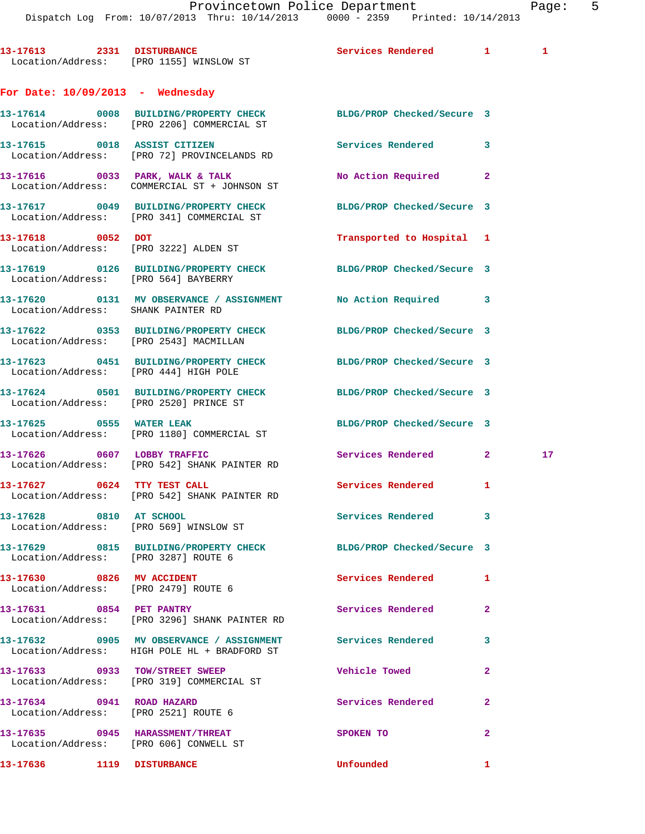Provincetown Police Department Page: 5 Dispatch Log From: 10/07/2013 Thru: 10/14/2013 0000 - 2359 Printed: 10/14/2013 13-17613 2331 DISTURBANCE Services Rendered 1 1 Location/Address: [PRO 1155] WINSLOW ST **For Date: 10/09/2013 - Wednesday 13-17614 0008 BUILDING/PROPERTY CHECK BLDG/PROP Checked/Secure 3**  Location/Address: [PRO 2206] COMMERCIAL ST **13-17615 0018 ASSIST CITIZEN Services Rendered 3**  Location/Address: [PRO 72] PROVINCELANDS RD **13-17616 0033 PARK, WALK & TALK No Action Required 2**  Location/Address: COMMERCIAL ST + JOHNSON ST **13-17617 0049 BUILDING/PROPERTY CHECK BLDG/PROP Checked/Secure 3**  Location/Address: [PRO 341] COMMERCIAL ST **13-17618 0052 DOT Transported to Hospital 1**  Location/Address: [PRO 3222] ALDEN ST **13-17619 0126 BUILDING/PROPERTY CHECK BLDG/PROP Checked/Secure 3**  Location/Address: [PRO 564] BAYBERRY **13-17620 0131 MV OBSERVANCE / ASSIGNMENT No Action Required 3**  Location/Address: SHANK PAINTER RD **13-17622 0353 BUILDING/PROPERTY CHECK BLDG/PROP Checked/Secure 3**  Location/Address: [PRO 2543] MACMILLAN **13-17623 0451 BUILDING/PROPERTY CHECK BLDG/PROP Checked/Secure 3**  Location/Address: [PRO 444] HIGH POLE **13-17624 0501 BUILDING/PROPERTY CHECK BLDG/PROP Checked/Secure 3**  Location/Address: [PRO 2520] PRINCE ST **13-17625 0555 WATER LEAK BLDG/PROP Checked/Secure 3**  Location/Address: [PRO 1180] COMMERCIAL ST **13-17626 0607 LOBBY TRAFFIC Services Rendered 2 17**  Location/Address: [PRO 542] SHANK PAINTER RD 13-17627 0624 TTY TEST CALL Services Rendered 1 Location/Address: [PRO 542] SHANK PAINTER RD **13-17628 0810 AT SCHOOL Services Rendered 3**  Location/Address: [PRO 569] WINSLOW ST **13-17629 0815 BUILDING/PROPERTY CHECK BLDG/PROP Checked/Secure 3**  Location/Address: [PRO 3287] ROUTE 6 **13-17630 0826 MV ACCIDENT Services Rendered 1**  Location/Address: [PRO 2479] ROUTE 6 **13-17631 0854 PET PANTRY Services Rendered 2**  Location/Address: [PRO 3296] SHANK PAINTER RD **13-17632 0905 MV OBSERVANCE / ASSIGNMENT Services Rendered 3**  Location/Address: HIGH POLE HL + BRADFORD ST **13-17633 0933 TOW/STREET SWEEP Vehicle Towed 2**  Location/Address: [PRO 319] COMMERCIAL ST

**13-17634 0941 ROAD HAZARD Services Rendered 2**  Location/Address: [PRO 2521] ROUTE 6 **13-17635 0945 HARASSMENT/THREAT SPOKEN TO 2**  Location/Address: [PRO 606] CONWELL ST **13-17636 1119 DISTURBANCE Unfounded 1**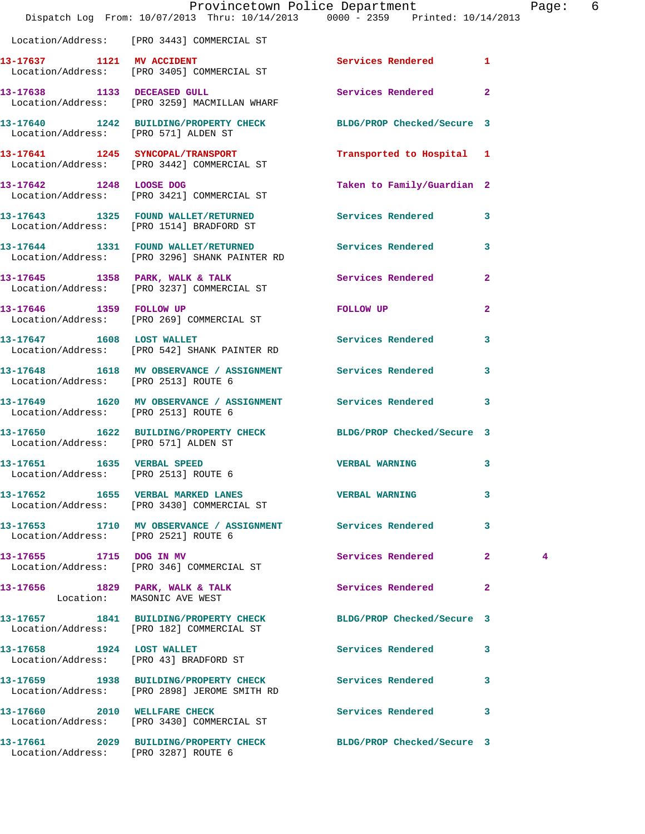|                                                                    |                                                                                      | Provincetown Police Department<br>Dispatch Log From: 10/07/2013 Thru: 10/14/2013 0000 - 2359 Printed: 10/14/2013 |                         | Page: | 6 |
|--------------------------------------------------------------------|--------------------------------------------------------------------------------------|------------------------------------------------------------------------------------------------------------------|-------------------------|-------|---|
|                                                                    | Location/Address: [PRO 3443] COMMERCIAL ST                                           |                                                                                                                  |                         |       |   |
|                                                                    | 13-17637 1121 MV ACCIDENT<br>Location/Address: [PRO 3405] COMMERCIAL ST              | Services Rendered 1                                                                                              |                         |       |   |
|                                                                    | 13-17638 1133 DECEASED GULL<br>Location/Address: [PRO 3259] MACMILLAN WHARF          | Services Rendered                                                                                                | $\mathbf{2}$            |       |   |
| Location/Address: [PRO 571] ALDEN ST                               |                                                                                      | 13-17640 1242 BUILDING/PROPERTY CHECK BLDG/PROP Checked/Secure 3                                                 |                         |       |   |
|                                                                    | 13-17641 1245 SYNCOPAL/TRANSPORT<br>Location/Address: [PRO 3442] COMMERCIAL ST       | Transported to Hospital 1                                                                                        |                         |       |   |
|                                                                    | 13-17642 1248 LOOSE DOG<br>Location/Address: [PRO 3421] COMMERCIAL ST                | Taken to Family/Guardian 2                                                                                       |                         |       |   |
|                                                                    | Location/Address: [PRO 1514] BRADFORD ST                                             | 13-17643 1325 FOUND WALLET/RETURNED Services Rendered 3                                                          |                         |       |   |
|                                                                    | 13-17644 1331 FOUND WALLET/RETURNED<br>Location/Address: [PRO 3296] SHANK PAINTER RD | <b>Services Rendered</b>                                                                                         | $\overline{\mathbf{3}}$ |       |   |
|                                                                    | 13-17645 1358 PARK, WALK & TALK<br>Location/Address: [PRO 3237] COMMERCIAL ST        | Services Rendered 2                                                                                              |                         |       |   |
|                                                                    | 13-17646 1359 FOLLOW UP<br>Location/Address: [PRO 269] COMMERCIAL ST                 | FOLLOW UP                                                                                                        | $\mathbf{2}$            |       |   |
|                                                                    | 13-17647 1608 LOST WALLET<br>Location/Address: [PRO 542] SHANK PAINTER RD            | <b>Services Rendered</b>                                                                                         | 3                       |       |   |
| Location/Address: [PRO 2513] ROUTE 6                               |                                                                                      | 13-17648 1618 MV OBSERVANCE / ASSIGNMENT Services Rendered                                                       | 3                       |       |   |
| Location/Address: [PRO 2513] ROUTE 6                               |                                                                                      | 13-17649 1620 MV OBSERVANCE / ASSIGNMENT Services Rendered                                                       | $\mathbf{3}$            |       |   |
| Location/Address: [PRO 571] ALDEN ST                               |                                                                                      | 13-17650 1622 BUILDING/PROPERTY CHECK BLDG/PROP Checked/Secure 3                                                 |                         |       |   |
| 13-17651 1635 VERBAL SPEED<br>Location/Address: [PRO 2513] ROUTE 6 |                                                                                      | <b>VERBAL WARNING</b>                                                                                            | $\mathbf{3}$            |       |   |
|                                                                    | 13-17652 1655 VERBAL MARKED LANES<br>Location/Address: [PRO 3430] COMMERCIAL ST      | <b>VERBAL WARNING</b>                                                                                            | 3                       |       |   |
| Location/Address: [PRO 2521] ROUTE 6                               |                                                                                      | 13-17653 1710 MV OBSERVANCE / ASSIGNMENT Services Rendered 3                                                     |                         |       |   |
| 13-17655 1715 DOG IN MV                                            | Location/Address: [PRO 346] COMMERCIAL ST                                            | Services Rendered                                                                                                | $\mathbf{2}$            | 4     |   |
|                                                                    | 13-17656 1829 PARK, WALK & TALK<br>Location: MASONIC AVE WEST                        | Services Rendered                                                                                                | $\mathbf{2}$            |       |   |
|                                                                    | 13-17657 1841 BUILDING/PROPERTY CHECK<br>Location/Address: [PRO 182] COMMERCIAL ST   | BLDG/PROP Checked/Secure 3                                                                                       |                         |       |   |
| 13-17658 1924 LOST WALLET                                          | Location/Address: [PRO 43] BRADFORD ST                                               | Services Rendered 3                                                                                              |                         |       |   |
|                                                                    | Location/Address: [PRO 2898] JEROME SMITH RD                                         | 13-17659 1938 BUILDING/PROPERTY CHECK Services Rendered                                                          | 3                       |       |   |
| 13-17660 2010 WELLFARE CHECK                                       | Location/Address: [PRO 3430] COMMERCIAL ST                                           | <b>Services Rendered</b>                                                                                         | 3                       |       |   |
|                                                                    |                                                                                      | 13-17661 2029 BUILDING/PROPERTY CHECK BLDG/PROP Checked/Secure 3                                                 |                         |       |   |

Location/Address: [PRO 3287] ROUTE 6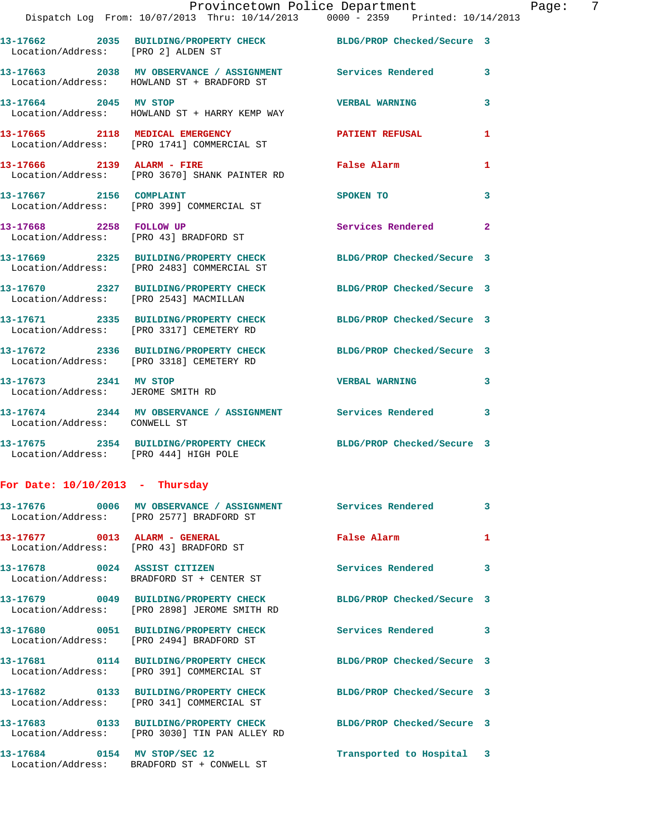| Location/Address: [PRO 2] ALDEN ST                         | 13-17662 2035 BUILDING/PROPERTY CHECK                                                                    | BLDG/PROP Checked/Secure 3 |              |
|------------------------------------------------------------|----------------------------------------------------------------------------------------------------------|----------------------------|--------------|
|                                                            | 13-17663 2038 MV OBSERVANCE / ASSIGNMENT Services Rendered<br>Location/Address: HOWLAND ST + BRADFORD ST |                            | 3            |
| 13-17664 2045 MV STOP                                      | Location/Address: HOWLAND ST + HARRY KEMP WAY                                                            | <b>VERBAL WARNING</b>      | 3            |
|                                                            | 13-17665 2118 MEDICAL EMERGENCY<br>Location/Address: [PRO 1741] COMMERCIAL ST                            | <b>PATIENT REFUSAL</b>     | $\mathbf{1}$ |
|                                                            | 13-17666 2139 ALARM - FIRE<br>Location/Address: [PRO 3670] SHANK PAINTER RD                              | False Alarm                | 1            |
| 13-17667 2156 COMPLAINT                                    | Location/Address: [PRO 399] COMMERCIAL ST                                                                | SPOKEN TO                  | 3            |
| 13-17668 2258 FOLLOW UP                                    | Location/Address: [PRO 43] BRADFORD ST                                                                   | Services Rendered          | $\mathbf{2}$ |
|                                                            | 13-17669 2325 BUILDING/PROPERTY CHECK<br>Location/Address: [PRO 2483] COMMERCIAL ST                      | BLDG/PROP Checked/Secure 3 |              |
| Location/Address: [PRO 2543] MACMILLAN                     | 13-17670 2327 BUILDING/PROPERTY CHECK                                                                    | BLDG/PROP Checked/Secure 3 |              |
|                                                            | 13-17671 2335 BUILDING/PROPERTY CHECK<br>Location/Address: [PRO 3317] CEMETERY RD                        | BLDG/PROP Checked/Secure 3 |              |
|                                                            | 13-17672 2336 BUILDING/PROPERTY CHECK<br>Location/Address: [PRO 3318] CEMETERY RD                        | BLDG/PROP Checked/Secure 3 |              |
| 13-17673 2341 MV STOP<br>Location/Address: JEROME SMITH RD |                                                                                                          | <b>VERBAL WARNING</b>      | 3            |
| Location/Address: CONWELL ST                               | 13-17674 2344 MV OBSERVANCE / ASSIGNMENT Services Rendered 3                                             |                            |              |
| Location/Address: [PRO 444] HIGH POLE                      | 13-17675 2354 BUILDING/PROPERTY CHECK BLDG/PROP Checked/Secure 3                                         |                            |              |
| For Date: $10/10/2013$ - Thursday                          |                                                                                                          |                            |              |
|                                                            | 13-17676  0006 MV OBSERVANCE / ASSIGNMENT Services Rendered<br>Location/Address: [PRO 2577] BRADFORD ST  |                            | 3            |
| 13-17677 0013 ALARM - GENERAL                              | Location/Address: [PRO 43] BRADFORD ST                                                                   | <b>False Alarm</b>         | 1            |
| 13-17678 0024 ASSIST CITIZEN                               | Location/Address: BRADFORD ST + CENTER ST                                                                | Services Rendered 3        |              |
|                                                            |                                                                                                          | BLDG/PROP Checked/Secure 3 |              |
|                                                            | 13-17680 0051 BUILDING/PROPERTY CHECK<br>Location/Address: [PRO 2494] BRADFORD ST                        | <b>Services Rendered</b>   | $\mathbf{3}$ |
|                                                            | 13-17681 0114 BUILDING/PROPERTY CHECK<br>Location/Address: [PRO 391] COMMERCIAL ST                       | BLDG/PROP Checked/Secure 3 |              |
|                                                            | 13-17682 0133 BUILDING/PROPERTY CHECK<br>Location/Address: [PRO 341] COMMERCIAL ST                       | BLDG/PROP Checked/Secure 3 |              |
|                                                            | 13-17683 0133 BUILDING/PROPERTY CHECK<br>Location/Address: [PRO 3030] TIN PAN ALLEY RD                   | BLDG/PROP Checked/Secure 3 |              |
|                                                            |                                                                                                          |                            |              |

**13-17684 0154 MV STOP/SEC 12 Transported to Hospital 3**  Location/Address: BRADFORD ST + CONWELL ST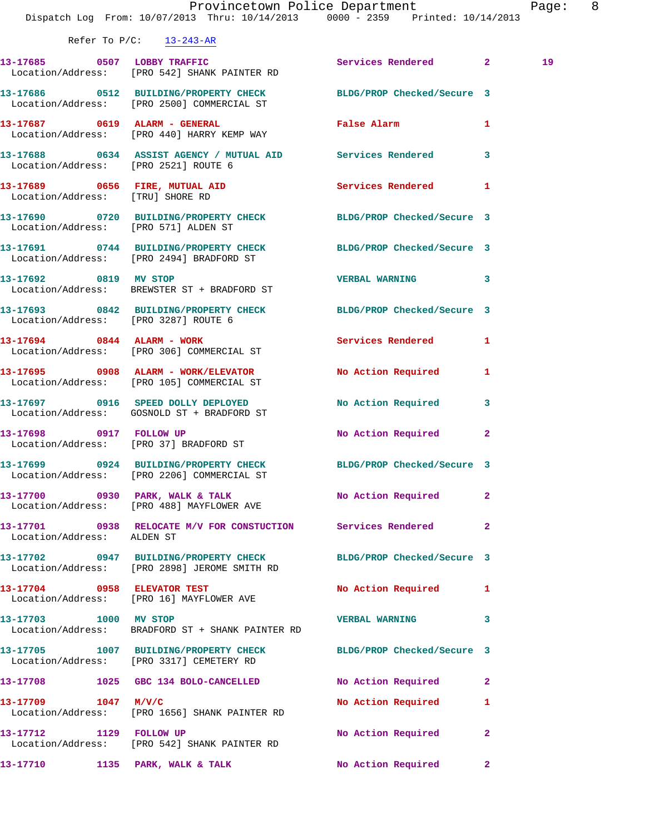|                                      | Dispatch Log From: 10/07/2013 Thru: 10/14/2013 0000 - 2359 Printed: 10/14/2013                                   | Provincetown Police Department |                         | Page: 8 |  |
|--------------------------------------|------------------------------------------------------------------------------------------------------------------|--------------------------------|-------------------------|---------|--|
|                                      | Refer To $P/C$ : 13-243-AR                                                                                       |                                |                         |         |  |
|                                      | 13-17685 0507 LOBBY TRAFFIC<br>Location/Address: [PRO 542] SHANK PAINTER RD                                      | Services Rendered 2            |                         | 19      |  |
|                                      | 13-17686 0512 BUILDING/PROPERTY CHECK BLDG/PROP Checked/Secure 3<br>Location/Address: [PRO 2500] COMMERCIAL ST   |                                |                         |         |  |
|                                      | 13-17687 0619 ALARM - GENERAL<br>Location/Address: [PRO 440] HARRY KEMP WAY                                      | False Alarm 1                  |                         |         |  |
| Location/Address: [PRO 2521] ROUTE 6 | 13-17688 0634 ASSIST AGENCY / MUTUAL AID Services Rendered 3                                                     |                                |                         |         |  |
| Location/Address: [TRU] SHORE RD     | 13-17689 0656 FIRE, MUTUAL AID 30 Services Rendered 1                                                            |                                |                         |         |  |
| Location/Address: [PRO 571] ALDEN ST | 13-17690 0720 BUILDING/PROPERTY CHECK BLDG/PROP Checked/Secure 3                                                 |                                |                         |         |  |
|                                      | 13-17691 0744 BUILDING/PROPERTY CHECK BLDG/PROP Checked/Secure 3<br>Location/Address: [PRO 2494] BRADFORD ST     |                                |                         |         |  |
|                                      | 13-17692 0819 MV STOP<br>Location/Address: BREWSTER ST + BRADFORD ST                                             | VERBAL WARNING 3               |                         |         |  |
| Location/Address: [PRO 3287] ROUTE 6 | 13-17693 0842 BUILDING/PROPERTY CHECK BLDG/PROP Checked/Secure 3                                                 |                                |                         |         |  |
|                                      | 13-17694 0844 ALARM - WORK<br>Location/Address: [PRO 306] COMMERCIAL ST                                          | Services Rendered 1            |                         |         |  |
|                                      | 13-17695 0908 ALARM - WORK/ELEVATOR<br>Location/Address: [PRO 105] COMMERCIAL ST                                 | No Action Required 1           |                         |         |  |
|                                      | 13-17697 0916 SPEED DOLLY DEPLOYED<br>Location/Address: GOSNOLD ST + BRADFORD ST                                 | No Action Required             | $\overline{\mathbf{3}}$ |         |  |
|                                      | 13-17698 0917 FOLLOW UP<br>Location/Address: [PRO 37] BRADFORD ST                                                | No Action Required             | $\mathbf{2}$            |         |  |
|                                      | 13-17699 0924 BUILDING/PROPERTY CHECK BLDG/PROP Checked/Secure 3<br>Location/Address: [PRO 2206] COMMERCIAL ST   |                                |                         |         |  |
|                                      | 13-17700 0930 PARK, WALK & TALK No Action Required<br>Location/Address: [PRO 488] MAYFLOWER AVE                  |                                | $\mathbf{2}$            |         |  |
| Location/Address: ALDEN ST           | 13-17701 0938 RELOCATE M/V FOR CONSTUCTION Services Rendered                                                     |                                | $\mathbf{2}$            |         |  |
|                                      | 13-17702 0947 BUILDING/PROPERTY CHECK BLDG/PROP Checked/Secure 3<br>Location/Address: [PRO 2898] JEROME SMITH RD |                                |                         |         |  |
|                                      | 13-17704 0958 ELEVATOR TEST<br>Location/Address: [PRO 16] MAYFLOWER AVE                                          | No Action Required 1           |                         |         |  |
| 13-17703 1000 MV STOP                | Location/Address: BRADFORD ST + SHANK PAINTER RD                                                                 | VERBAL WARNING 3               |                         |         |  |
|                                      | 13-17705 1007 BUILDING/PROPERTY CHECK<br>Location/Address: [PRO 3317] CEMETERY RD                                | BLDG/PROP Checked/Secure 3     |                         |         |  |
|                                      | 13-17708 1025 GBC 134 BOLO-CANCELLED                                                                             | No Action Required             | $\mathbf{2}$            |         |  |
| 13-17709 1047 M/V/C                  | Location/Address: [PRO 1656] SHANK PAINTER RD                                                                    | No Action Required             | 1                       |         |  |
| 13-17712 1129 FOLLOW UP              | Location/Address: [PRO 542] SHANK PAINTER RD                                                                     | No Action Required             | $\mathbf{2}$            |         |  |
|                                      | 13-17710 1135 PARK, WALK & TALK                                                                                  | No Action Required             | $\mathbf{2}$            |         |  |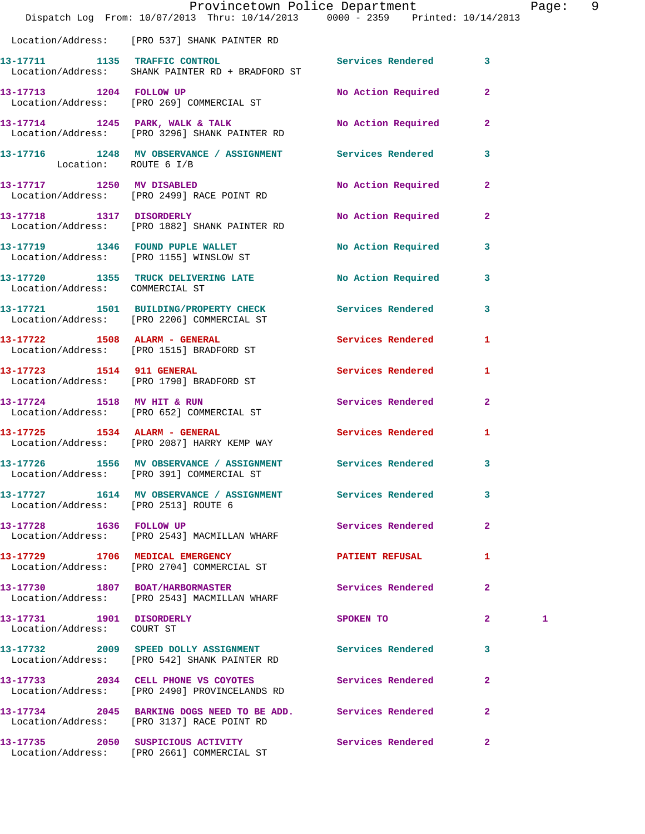|                                                        | Dispatch Log From: 10/07/2013 Thru: 10/14/2013 0000 - 2359 Printed: 10/14/2013                             | Provincetown Police Department |                         | Page: 9 |  |
|--------------------------------------------------------|------------------------------------------------------------------------------------------------------------|--------------------------------|-------------------------|---------|--|
|                                                        | Location/Address: [PRO 537] SHANK PAINTER RD                                                               |                                |                         |         |  |
|                                                        | 13-17711 1135 TRAFFIC CONTROL<br>Location/Address: SHANK PAINTER RD + BRADFORD ST                          | Services Rendered 3            |                         |         |  |
|                                                        | 13-17713 1204 FOLLOW UP<br>Location/Address: [PRO 269] COMMERCIAL ST                                       | No Action Required 2           |                         |         |  |
|                                                        | 13-17714 1245 PARK, WALK & TALK<br>Location/Address: [PRO 3296] SHANK PAINTER RD                           | No Action Required             | $\mathbf{2}$            |         |  |
| Location: ROUTE 6 I/B                                  | 13-17716 1248 MV OBSERVANCE / ASSIGNMENT Services Rendered                                                 |                                | 3                       |         |  |
| 13-17717 1250 MV DISABLED                              | Location/Address: [PRO 2499] RACE POINT RD                                                                 | No Action Required             | $\mathbf{2}$            |         |  |
|                                                        | 13-17718 1317 DISORDERLY<br>Location/Address: [PRO 1882] SHANK PAINTER RD                                  | No Action Required             | $\mathbf{2}$            |         |  |
|                                                        | 13-17719 1346 FOUND PUPLE WALLET<br>Location/Address: [PRO 1155] WINSLOW ST                                | No Action Required             | $\mathbf{3}$            |         |  |
|                                                        | 13-17720 1355 TRUCK DELIVERING LATE<br>Location/Address: COMMERCIAL ST                                     | <b>No Action Required</b>      | 3                       |         |  |
|                                                        | 13-17721 1501 BUILDING/PROPERTY CHECK Services Rendered<br>Location/Address: [PRO 2206] COMMERCIAL ST      |                                | 3                       |         |  |
|                                                        | 13-17722 1508 ALARM - GENERAL<br>Location/Address: [PRO 1515] BRADFORD ST                                  | <b>Services Rendered</b>       | 1                       |         |  |
| 13-17723 1514 911 GENERAL                              | Location/Address: [PRO 1790] BRADFORD ST                                                                   | Services Rendered              | $\mathbf{1}$            |         |  |
|                                                        | 13-17724 1518 MV HIT & RUN<br>Location/Address: [PRO 652] COMMERCIAL ST                                    | Services Rendered              | $\mathbf{2}$            |         |  |
|                                                        | 13-17725 1534 ALARM - GENERAL<br>Location/Address: [PRO 2087] HARRY KEMP WAY                               | Services Rendered              | 1                       |         |  |
| $\sim$ $\sim$ $\sim$ $\sim$ $\sim$                     | 13-17726 1556 MV OBSERVANCE / ASSIGNMENT Services Rendered<br>Location/Address: [PRO 391] COMMERCIAL ST    |                                | $\overline{\mathbf{3}}$ |         |  |
| Location/Address: [PRO 2513] ROUTE 6                   | 13-17727 1614 MV OBSERVANCE / ASSIGNMENT Services Rendered                                                 |                                | 3                       |         |  |
|                                                        | 13-17728 1636 FOLLOW UP<br>Location/Address: [PRO 2543] MACMILLAN WHARF                                    | Services Rendered              | $\mathbf{2}$            |         |  |
|                                                        | 13-17729 1706 MEDICAL EMERGENCY<br>Location/Address: [PRO 2704] COMMERCIAL ST                              | <b>PATIENT REFUSAL</b>         | 1                       |         |  |
|                                                        | 13-17730 1807 BOAT/HARBORMASTER<br>Location/Address: [PRO 2543] MACMILLAN WHARF                            | Services Rendered              | $\mathbf{2}$            |         |  |
| 13-17731 1901 DISORDERLY<br>Location/Address: COURT ST |                                                                                                            | SPOKEN TO                      | $\mathbf{2}$            | 1       |  |
|                                                        | Location/Address: [PRO 542] SHANK PAINTER RD                                                               |                                | 3                       |         |  |
|                                                        | 13-17733 2034 CELL PHONE VS COYOTES<br>Location/Address: [PRO 2490] PROVINCELANDS RD                       | Services Rendered              | $\overline{2}$          |         |  |
|                                                        | 13-17734 2045 BARKING DOGS NEED TO BE ADD. Services Rendered<br>Location/Address: [PRO 3137] RACE POINT RD |                                | $\overline{2}$          |         |  |
|                                                        | 13-17735 2050 SUSPICIOUS ACTIVITY                                                                          | Services Rendered 2            |                         |         |  |

Location/Address: [PRO 2661] COMMERCIAL ST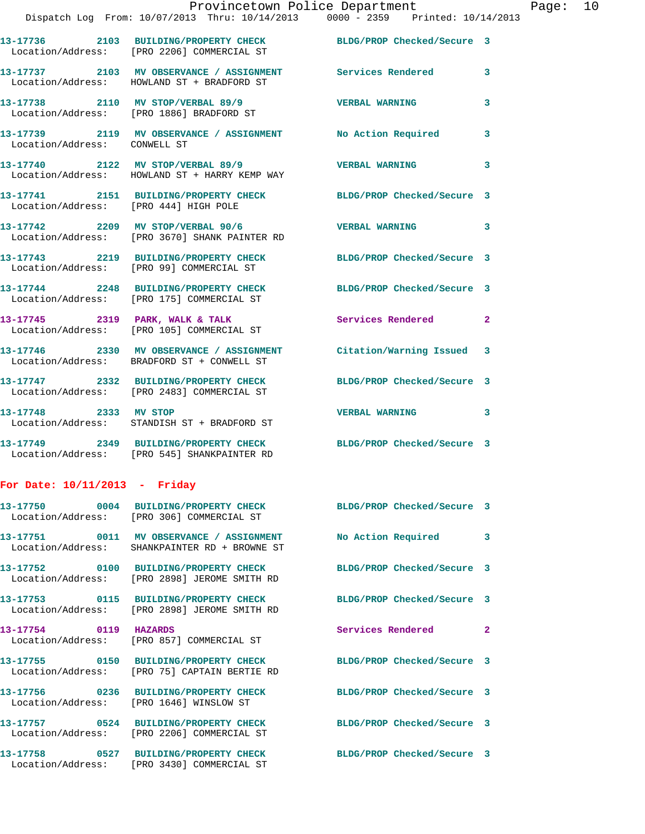|                                       | 13-17736 2103 BUILDING/PROPERTY CHECK<br>Location/Address: [PRO 2206] COMMERCIAL ST                      | BLDG/PROP Checked/Secure 3 |   |
|---------------------------------------|----------------------------------------------------------------------------------------------------------|----------------------------|---|
|                                       | 13-17737 2103 MV OBSERVANCE / ASSIGNMENT Services Rendered<br>Location/Address: HOWLAND ST + BRADFORD ST |                            | 3 |
|                                       | 13-17738 2110 MV STOP/VERBAL 89/9<br>Location/Address: [PRO 1886] BRADFORD ST                            | <b>VERBAL WARNING</b>      | 3 |
| Location/Address: CONWELL ST          | 13-17739 2119 MV OBSERVANCE / ASSIGNMENT                                                                 | <b>No Action Required</b>  | 3 |
|                                       | 13-17740 2122 MV STOP/VERBAL 89/9<br>Location/Address: HOWLAND ST + HARRY KEMP WAY                       | <b>VERBAL WARNING</b>      | 3 |
| Location/Address: [PRO 444] HIGH POLE | 13-17741 2151 BUILDING/PROPERTY CHECK BLDG/PROP Checked/Secure 3                                         |                            |   |
|                                       | 13-17742 2209 MV STOP/VERBAL 90/6<br>Location/Address: [PRO 3670] SHANK PAINTER RD                       | <b>VERBAL WARNING</b>      | 3 |
|                                       | 13-17743 2219 BUILDING/PROPERTY CHECK<br>Location/Address: [PRO 99] COMMERCIAL ST                        | BLDG/PROP Checked/Secure 3 |   |
|                                       | 13-17744 2248 BUILDING/PROPERTY CHECK<br>Location/Address: [PRO 175] COMMERCIAL ST                       | BLDG/PROP Checked/Secure 3 |   |
|                                       | 13-17745 2319 PARK, WALK & TALK<br>Location/Address: [PRO 105] COMMERCIAL ST                             | Services Rendered 2        |   |
|                                       | 13-17746 2330 MV OBSERVANCE / ASSIGNMENT<br>Location/Address: BRADFORD ST + CONWELL ST                   | Citation/Warning Issued 3  |   |
|                                       | 13-17747 2332 BUILDING/PROPERTY CHECK<br>Location/Address: [PRO 2483] COMMERCIAL ST                      | BLDG/PROP Checked/Secure 3 |   |
| 13-17748 2333 MV STOP                 | Location/Address: STANDISH ST + BRADFORD ST                                                              | <b>VERBAL WARNING</b>      | 3 |
|                                       | 13-17749 2349 BUILDING/PROPERTY CHECK<br>Location/Address: [PRO 545] SHANKPAINTER RD                     | BLDG/PROP Checked/Secure 3 |   |
|                                       |                                                                                                          |                            |   |

## **For Date: 10/11/2013 - Friday**

|                       | Location/Address: [PRO 306] COMMERCIAL ST                                                                               | BLDG/PROP Checked/Secure 3    |  |
|-----------------------|-------------------------------------------------------------------------------------------------------------------------|-------------------------------|--|
|                       | Location/Address: SHANKPAINTER RD + BROWNE ST                                                                           |                               |  |
|                       | Location/Address: [PRO 2898] JEROME SMITH RD                                                                            | BLDG/PROP Checked/Secure 3    |  |
| Location/Address:     | 13-17753 0115 BUILDING/PROPERTY CHECK<br>[PRO 2898] JEROME SMITH RD                                                     | BLDG/PROP Checked/Secure 3    |  |
| 13-17754 0119 HAZARDS | Location/Address: [PRO 857] COMMERCIAL ST                                                                               | Services Rendered<br>$\sim$ 2 |  |
|                       | 13-17755 0150 BUILDING/PROPERTY CHECK<br>Location/Address: [PRO 75] CAPTAIN BERTIE RD                                   | BLDG/PROP Checked/Secure 3    |  |
|                       | 13-17756      0236  BUILDING/PROPERTY CHECK       BLDG/PROP Checked/Secure 3<br>Location/Address: [PRO 1646] WINSLOW ST |                               |  |
| Location/Address:     | 13-17757 0524 BUILDING/PROPERTY CHECK<br>[PRO 2206] COMMERCIAL ST                                                       | BLDG/PROP Checked/Secure 3    |  |
| Location/Address:     | 13-17758 0527 BUILDING/PROPERTY CHECK BLDG/PROP Checked/Secure 3<br>[PRO 3430] COMMERCIAL ST                            |                               |  |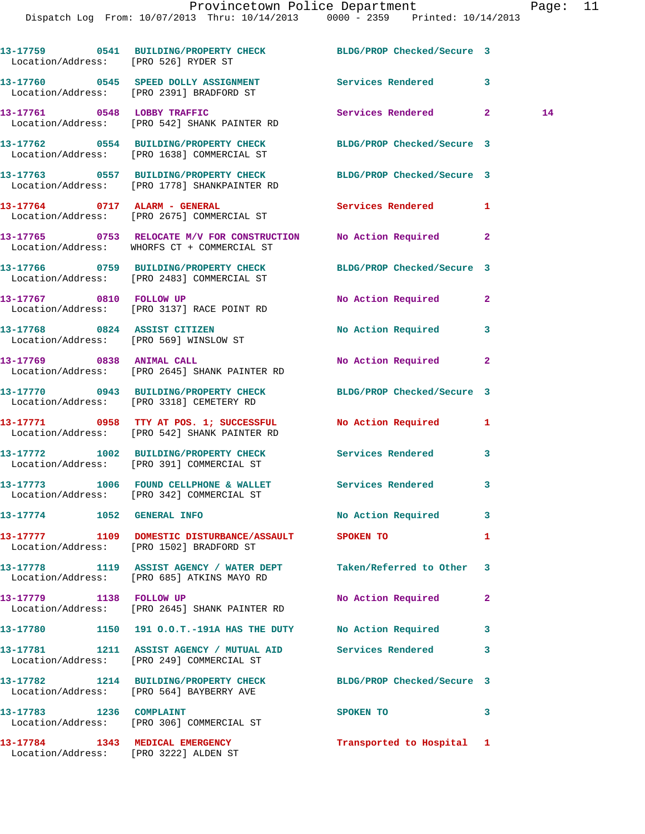Dispatch Log From: 10/07/2013 Thru: 10/14/2013 0000 - 2359 Printed: 10/14/2013

| Location/Address: [PRO 526] RYDER ST                                     | 13-17759 0541 BUILDING/PROPERTY CHECK BLDG/PROP Checked/Secure 3                                                 |                            |              |    |
|--------------------------------------------------------------------------|------------------------------------------------------------------------------------------------------------------|----------------------------|--------------|----|
|                                                                          | 13-17760 0545 SPEED DOLLY ASSIGNMENT<br>Location/Address: [PRO 2391] BRADFORD ST                                 | Services Rendered 3        |              |    |
|                                                                          | 13-17761 0548 LOBBY TRAFFIC<br>Location/Address: [PRO 542] SHANK PAINTER RD                                      | Services Rendered 2        |              | 14 |
|                                                                          | 13-17762 0554 BUILDING/PROPERTY CHECK<br>Location/Address: [PRO 1638] COMMERCIAL ST                              | BLDG/PROP Checked/Secure 3 |              |    |
|                                                                          | 13-17763 0557 BUILDING/PROPERTY CHECK BLDG/PROP Checked/Secure 3<br>Location/Address: [PRO 1778] SHANKPAINTER RD |                            |              |    |
|                                                                          | 13-17764 0717 ALARM - GENERAL<br>Location/Address: [PRO 2675] COMMERCIAL ST                                      | <b>Services Rendered</b>   | $\mathbf{1}$ |    |
|                                                                          | 13-17765 0753 RELOCATE M/V FOR CONSTRUCTION No Action Required 2<br>Location/Address: WHORFS CT + COMMERCIAL ST  |                            |              |    |
|                                                                          | 13-17766 0759 BUILDING/PROPERTY CHECK BLDG/PROP Checked/Secure 3<br>Location/Address: [PRO 2483] COMMERCIAL ST   |                            |              |    |
|                                                                          | 13-17767 0810 FOLLOW UP<br>Location/Address: [PRO 3137] RACE POINT RD                                            | No Action Required         | $\mathbf{2}$ |    |
|                                                                          | 13-17768 0824 ASSIST CITIZEN<br>Location/Address: [PRO 569] WINSLOW ST                                           | No Action Required 3       |              |    |
|                                                                          | 13-17769 0838 ANIMAL CALL<br>Location/Address: [PRO 2645] SHANK PAINTER RD                                       | No Action Required         | $\mathbf{2}$ |    |
|                                                                          | 13-17770 0943 BUILDING/PROPERTY CHECK BLDG/PROP Checked/Secure 3<br>Location/Address: [PRO 3318] CEMETERY RD     |                            |              |    |
|                                                                          | 13-17771 0958 TTY AT POS. 1; SUCCESSFUL No Action Required<br>Location/Address: [PRO 542] SHANK PAINTER RD       |                            | $\mathbf{1}$ |    |
|                                                                          | 13-17772 1002 BUILDING/PROPERTY CHECK Services Rendered 3<br>Location/Address: [PRO 391] COMMERCIAL ST           |                            |              |    |
|                                                                          | 13-17773 1006 FOUND CELLPHONE & WALLET Services Rendered<br>Location/Address: [PRO 342] COMMERCIAL ST            |                            | 3            |    |
| 13-17774 1052 GENERAL INFO                                               |                                                                                                                  | No Action Required         | 3            |    |
|                                                                          | 13-17777 1109 DOMESTIC DISTURBANCE/ASSAULT SPOKEN TO<br>Location/Address: [PRO 1502] BRADFORD ST                 |                            | 1            |    |
|                                                                          | 13-17778 1119 ASSIST AGENCY / WATER DEPT Taken/Referred to Other 3<br>Location/Address: [PRO 685] ATKINS MAYO RD |                            |              |    |
| 13-17779 1138 FOLLOW UP                                                  | Location/Address: [PRO 2645] SHANK PAINTER RD                                                                    | No Action Required         | $\mathbf{2}$ |    |
|                                                                          | 13-17780 1150 191 O.O.T.-191A HAS THE DUTY No Action Required                                                    |                            | 3            |    |
|                                                                          | 13-17781 1211 ASSIST AGENCY / MUTUAL AID Services Rendered<br>Location/Address: [PRO 249] COMMERCIAL ST          |                            | 3            |    |
|                                                                          | 13-17782 1214 BUILDING/PROPERTY CHECK BLDG/PROP Checked/Secure 3<br>Location/Address: [PRO 564] BAYBERRY AVE     |                            |              |    |
| 13-17783 1236 COMPLAINT                                                  | Location/Address: [PRO 306] COMMERCIAL ST                                                                        | SPOKEN TO                  | 3            |    |
| 13-17784 1343 MEDICAL EMERGENCY<br>Location/Address: [PRO 3222] ALDEN ST |                                                                                                                  | Transported to Hospital 1  |              |    |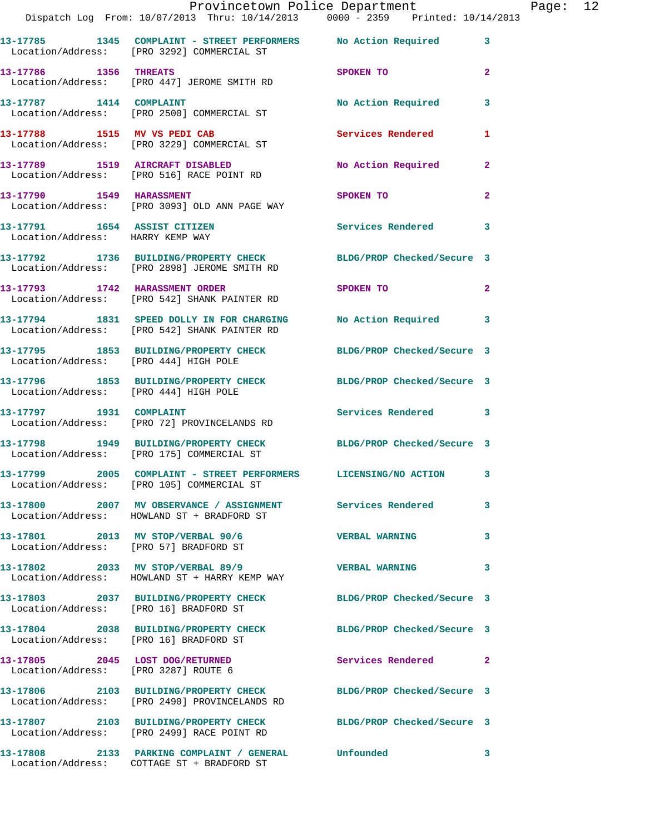|                                        | Dispatch Log From: 10/07/2013 Thru: 10/14/2013 0000 - 2359 Printed: 10/14/2013                                    | Provincetown Police Department                     | Page: 12 |
|----------------------------------------|-------------------------------------------------------------------------------------------------------------------|----------------------------------------------------|----------|
|                                        | 13-17785 1345 COMPLAINT - STREET PERFORMERS No Action Required 3<br>Location/Address: [PRO 3292] COMMERCIAL ST    |                                                    |          |
| 13-17786 1356 THREATS                  | Location/Address: [PRO 447] JEROME SMITH RD                                                                       | SPOKEN TO AND THE SPOKEN TO<br>$\mathbf{2}$        |          |
|                                        | 13-17787 1414 COMPLAINT<br>Location/Address: [PRO 2500] COMMERCIAL ST                                             | No Action Required<br>$\mathbf{3}$                 |          |
|                                        | 13-17788 1515 MV VS PEDI CAB<br>Location/Address: [PRO 3229] COMMERCIAL ST                                        | Services Rendered<br>1                             |          |
|                                        | 13-17789 1519 AIRCRAFT DISABLED<br>Location/Address: [PRO 516] RACE POINT RD                                      | No Action Required 2                               |          |
|                                        | 13-17790 1549 HARASSMENT<br>Location/Address: [PRO 3093] OLD ANN PAGE WAY                                         | $\overline{a}$<br>SPOKEN TO                        |          |
| Location/Address: HARRY KEMP WAY       | 13-17791 1654 ASSIST CITIZEN                                                                                      | Services Rendered<br>3                             |          |
|                                        | 13-17792 1736 BUILDING/PROPERTY CHECK BLDG/PROP Checked/Secure 3<br>Location/Address: [PRO 2898] JEROME SMITH RD  |                                                    |          |
|                                        | 13-17793 1742 HARASSMENT ORDER<br>Location/Address: [PRO 542] SHANK PAINTER RD                                    | SPOKEN TO AND TO A THE SPOKEN TO<br>$\overline{2}$ |          |
|                                        | 13-17794 1831 SPEED DOLLY IN FOR CHARGING No Action Required<br>Location/Address: [PRO 542] SHANK PAINTER RD      | 3                                                  |          |
| Location/Address: [PRO 444] HIGH POLE  | 13-17795 1853 BUILDING/PROPERTY CHECK BLDG/PROP Checked/Secure 3                                                  |                                                    |          |
| Location/Address: [PRO 444] HIGH POLE  | 13-17796 1853 BUILDING/PROPERTY CHECK BLDG/PROP Checked/Secure 3                                                  |                                                    |          |
| 13-17797 1931 COMPLAINT                | Location/Address: [PRO 72] PROVINCELANDS RD                                                                       | Services Rendered 3                                |          |
|                                        | 13-17798 1949 BUILDING/PROPERTY CHECK BLDG/PROP Checked/Secure 3<br>Location/Address: [PRO 175] COMMERCIAL ST     |                                                    |          |
|                                        | 13-17799 2005 COMPLAINT - STREET PERFORMERS LICENSING/NO ACTION<br>Location/Address: [PRO 105] COMMERCIAL ST      |                                                    |          |
|                                        | 13-17800 2007 MV OBSERVANCE / ASSIGNMENT Services Rendered<br>Location/Address: HOWLAND ST + BRADFORD ST          | 3                                                  |          |
|                                        | 13-17801 2013 MV STOP/VERBAL 90/6<br>Location/Address: [PRO 57] BRADFORD ST                                       | <b>VERBAL WARNING</b><br>3                         |          |
|                                        | 13-17802 2033 MV STOP/VERBAL 89/9<br>Location/Address: HOWLAND ST + HARRY KEMP WAY                                | <b>VERBAL WARNING</b><br>3                         |          |
| Location/Address: [PRO 16] BRADFORD ST | 13-17803 2037 BUILDING/PROPERTY CHECK BLDG/PROP Checked/Secure 3                                                  |                                                    |          |
| Location/Address: [PRO 16] BRADFORD ST | 13-17804 2038 BUILDING/PROPERTY CHECK BLDG/PROP Checked/Secure 3                                                  |                                                    |          |
|                                        | 13-17805 2045 LOST DOG/RETURNED<br>Location/Address: [PRO 3287] ROUTE 6                                           | Services Rendered 2                                |          |
|                                        | 13-17806 2103 BUILDING/PROPERTY CHECK BLDG/PROP Checked/Secure 3<br>Location/Address: [PRO 2490] PROVINCELANDS RD |                                                    |          |
|                                        | 13-17807 2103 BUILDING/PROPERTY CHECK BLDG/PROP Checked/Secure 3<br>Location/Address: [PRO 2499] RACE POINT RD    |                                                    |          |
|                                        | 13-17808 2133 PARKING COMPLAINT / GENERAL Unfounded                                                               | 3                                                  |          |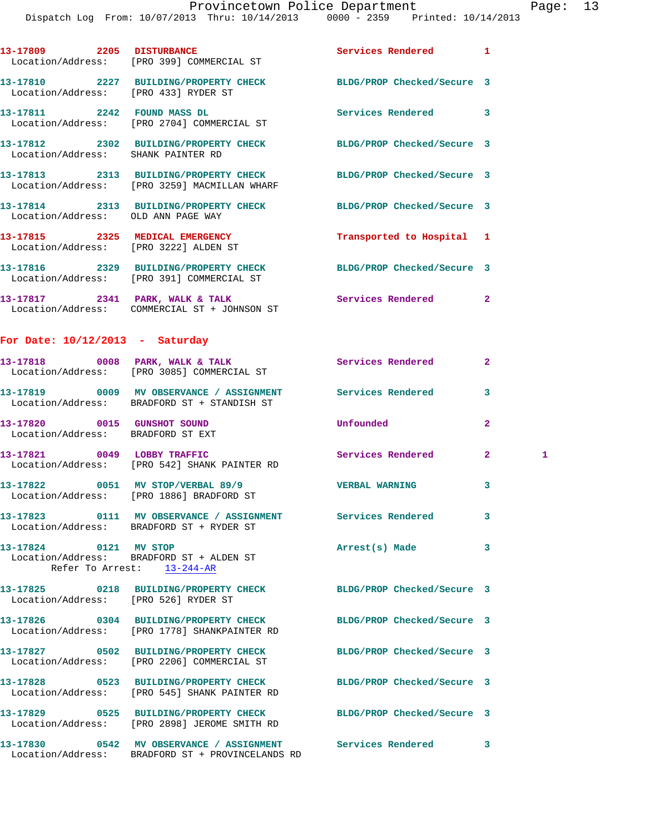|                                                                  | 13-17809 2205 DISTURBANCE<br>Location/Address: [PRO 399] COMMERCIAL ST                       | Services Rendered          | $\mathbf{1}$   |   |
|------------------------------------------------------------------|----------------------------------------------------------------------------------------------|----------------------------|----------------|---|
| Location/Address: [PRO 433] RYDER ST                             | 13-17810 2227 BUILDING/PROPERTY CHECK BLDG/PROP Checked/Secure 3                             |                            |                |   |
|                                                                  | 13-17811 2242 FOUND MASS DL<br>Location/Address: [PRO 2704] COMMERCIAL ST                    | Services Rendered          | 3              |   |
| Location/Address: SHANK PAINTER RD                               | 13-17812 2302 BUILDING/PROPERTY CHECK                                                        | BLDG/PROP Checked/Secure 3 |                |   |
|                                                                  | 13-17813 2313 BUILDING/PROPERTY CHECK<br>Location/Address: [PRO 3259] MACMILLAN WHARF        | BLDG/PROP Checked/Secure 3 |                |   |
| Location/Address: OLD ANN PAGE WAY                               | 13-17814 2313 BUILDING/PROPERTY CHECK                                                        | BLDG/PROP Checked/Secure 3 |                |   |
|                                                                  | 13-17815 2325 MEDICAL EMERGENCY<br>Location/Address: [PRO 3222] ALDEN ST                     | Transported to Hospital 1  |                |   |
|                                                                  | 13-17816 2329 BUILDING/PROPERTY CHECK<br>Location/Address: [PRO 391] COMMERCIAL ST           | BLDG/PROP Checked/Secure 3 |                |   |
|                                                                  | 13-17817 2341 PARK, WALK & TALK<br>Location/Address: COMMERCIAL ST + JOHNSON ST              | Services Rendered          | $\overline{2}$ |   |
| For Date: $10/12/2013$ - Saturday                                |                                                                                              |                            |                |   |
|                                                                  | 13-17818 0008 PARK, WALK & TALK<br>Location/Address: [PRO 3085] COMMERCIAL ST                | Services Rendered          | $\mathbf{2}$   |   |
|                                                                  | 13-17819 0009 MV OBSERVANCE / ASSIGNMENT<br>Location/Address: BRADFORD ST + STANDISH ST      | <b>Services Rendered</b>   | 3              |   |
| 13-17820 0015 GUNSHOT SOUND<br>Location/Address: BRADFORD ST EXT |                                                                                              | Unfounded                  | $\mathbf{2}$   |   |
|                                                                  | 13-17821 0049 LOBBY TRAFFIC<br>Location/Address: [PRO 542] SHANK PAINTER RD                  | Services Rendered          | 2 <sup>1</sup> | 1 |
|                                                                  | 13-17822 0051 MV STOP/VERBAL 89/9<br>Location/Address: [PRO 1886] BRADFORD ST                | <b>VERBAL WARNING</b>      | 3              |   |
|                                                                  | 13-17823 0111 MV OBSERVANCE / ASSIGNMENT<br>Location/Address: BRADFORD ST + RYDER ST         | <b>Services Rendered</b>   | 3              |   |
| 13-17824 0121 MV STOP                                            | Location/Address: BRADFORD ST + ALDEN ST<br>Refer To Arrest: 13-244-AR                       | Arrest(s) Made             | 3              |   |
| Location/Address: [PRO 526] RYDER ST                             | 13-17825 0218 BUILDING/PROPERTY CHECK                                                        | BLDG/PROP Checked/Secure 3 |                |   |
|                                                                  | 13-17826 0304 BUILDING/PROPERTY CHECK<br>Location/Address: [PRO 1778] SHANKPAINTER RD        | BLDG/PROP Checked/Secure 3 |                |   |
|                                                                  | 13-17827 0502 BUILDING/PROPERTY CHECK<br>Location/Address: [PRO 2206] COMMERCIAL ST          | BLDG/PROP Checked/Secure 3 |                |   |
|                                                                  | 13-17828 0523 BUILDING/PROPERTY CHECK<br>Location/Address: [PRO 545] SHANK PAINTER RD        | BLDG/PROP Checked/Secure 3 |                |   |
|                                                                  | 13-17829 0525 BUILDING/PROPERTY CHECK<br>Location/Address: [PRO 2898] JEROME SMITH RD        | BLDG/PROP Checked/Secure 3 |                |   |
|                                                                  | 13-17830 0542 MV OBSERVANCE / ASSIGNMENT<br>Location/Address: BRADFORD ST + PROVINCELANDS RD | Services Rendered          | 3              |   |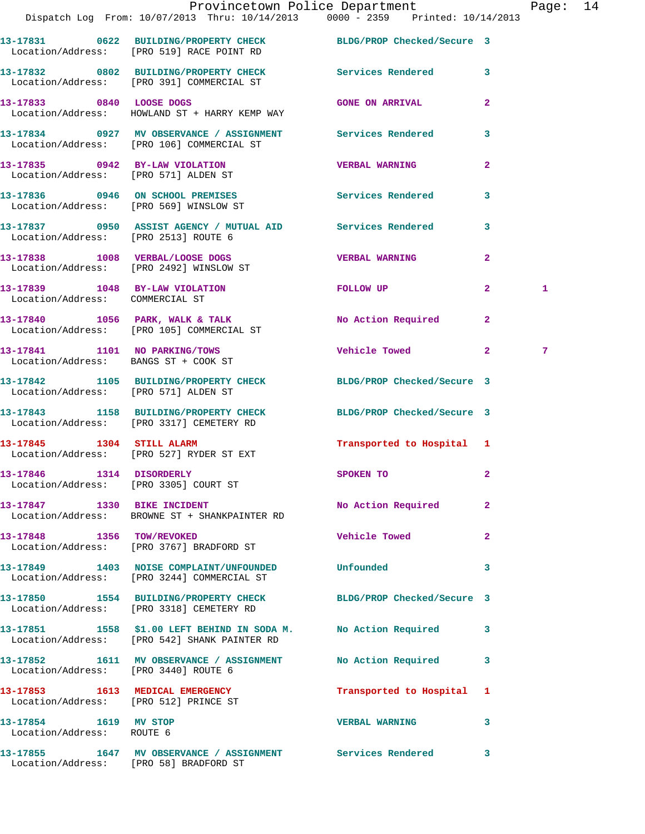|                                                    | Provincetown Police Department Fage: 14<br>Dispatch Log From: 10/07/2013 Thru: 10/14/2013 0000 - 2359 Printed: 10/14/2013 |                                |                |              |  |
|----------------------------------------------------|---------------------------------------------------------------------------------------------------------------------------|--------------------------------|----------------|--------------|--|
|                                                    | 13-17831 0622 BUILDING/PROPERTY CHECK BLDG/PROP Checked/Secure 3                                                          |                                |                |              |  |
|                                                    | Location/Address: [PRO 519] RACE POINT RD                                                                                 |                                |                |              |  |
|                                                    | 13-17832 0802 BUILDING/PROPERTY CHECK Services Rendered 3<br>Location/Address: [PRO 391] COMMERCIAL ST                    |                                |                |              |  |
|                                                    | 13-17833 0840 LOOSE DOGS<br>Location/Address: HOWLAND ST + HARRY KEMP WAY                                                 | <b>GONE ON ARRIVAL</b>         | $\overline{2}$ |              |  |
|                                                    | 13-17834 0927 MV OBSERVANCE / ASSIGNMENT Services Rendered 3<br>Location/Address: [PRO 106] COMMERCIAL ST                 |                                |                |              |  |
| Location/Address: [PRO 571] ALDEN ST               | 13-17835 0942 BY-LAW VIOLATION VERBAL WARNING                                                                             |                                | $\overline{2}$ |              |  |
|                                                    | 13-17836 0946 ON SCHOOL PREMISES 6 Services Rendered 3<br>Location/Address: [PRO 569] WINSLOW ST                          |                                |                |              |  |
| Location/Address: [PRO 2513] ROUTE 6               | 13-17837 0950 ASSIST AGENCY / MUTUAL AID Services Rendered 3                                                              |                                |                |              |  |
|                                                    | 13-17838 1008 VERBAL/LOOSE DOGS<br>Location/Address: [PRO 2492] WINSLOW ST                                                | <b>VERBAL WARNING</b>          | $\mathbf{2}$   |              |  |
|                                                    | 13-17839 1048 BY-LAW VIOLATION<br>Location/Address: COMMERCIAL ST                                                         | FOLLOW UP                      | $\mathbf{2}$   | $\mathbf{1}$ |  |
|                                                    | $13-17840$ 1056 PARK, WALK & TALK<br>Location/Address: [PRO 105] COMMERCIAL ST                                            | No Action Required             | $\mathbf{2}$   |              |  |
|                                                    | 13-17841 1101 NO PARKING/TOWS<br>Location/Address: BANGS ST + COOK ST                                                     | Vehicle Towed 2                |                | 7            |  |
|                                                    | 13-17842 1105 BUILDING/PROPERTY CHECK BLDG/PROP Checked/Secure 3<br>Location/Address: [PRO 571] ALDEN ST                  |                                |                |              |  |
|                                                    | 13-17843 1158 BUILDING/PROPERTY CHECK BLDG/PROP Checked/Secure 3<br>Location/Address: [PRO 3317] CEMETERY RD              |                                |                |              |  |
|                                                    | 13-17845 1304 STILL ALARM<br>Location/Address: [PRO 527] RYDER ST EXT                                                     | Transported to Hospital 1      |                |              |  |
|                                                    | 13-17846 1314 DISORDERLY<br>Location/Address: [PRO 3305] COURT ST                                                         | SPOKEN TO                      | $\overline{a}$ |              |  |
|                                                    | 13-17847 1330 BIKE INCIDENT<br>Location/Address: BROWNE ST + SHANKPAINTER RD                                              | No Action Required 2           |                |              |  |
|                                                    | 13-17848 1356 TOW/REVOKED<br>Location/Address: [PRO 3767] BRADFORD ST                                                     | Vehicle Towed <b>Seat 1996</b> | $\mathbf{2}$   |              |  |
|                                                    | 13-17849 1403 NOISE COMPLAINT/UNFOUNDED Unfounded<br>Location/Address: [PRO 3244] COMMERCIAL ST                           |                                | 3              |              |  |
|                                                    | 13-17850 1554 BUILDING/PROPERTY CHECK BLDG/PROP Checked/Secure 3<br>Location/Address: [PRO 3318] CEMETERY RD              |                                |                |              |  |
|                                                    | 13-17851 1558 \$1.00 LEFT BEHIND IN SODAM. No Action Required 3<br>Location/Address: [PRO 542] SHANK PAINTER RD           |                                |                |              |  |
| Location/Address: [PRO 3440] ROUTE 6               | 13-17852 1611 MV OBSERVANCE / ASSIGNMENT No Action Required 3                                                             |                                |                |              |  |
| Location/Address: [PRO 512] PRINCE ST              | 13-17853 1613 MEDICAL EMERGENCY                                                                                           | Transported to Hospital 1      |                |              |  |
| 13-17854 1619 MV STOP<br>Location/Address: ROUTE 6 |                                                                                                                           | <b>VERBAL WARNING</b>          | $\mathbf{3}$   |              |  |

**13-17855 1647 MV OBSERVANCE / ASSIGNMENT Services Rendered 3**  Location/Address: [PRO 58] BRADFORD ST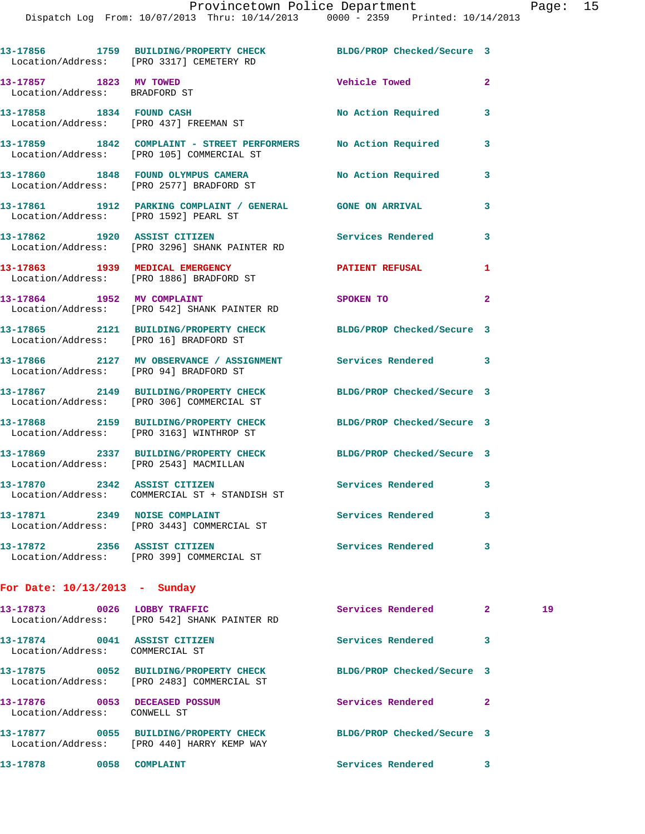|                                                                 | 13-17856 1759 BUILDING/PROPERTY CHECK BLDG/PROP Checked/Secure 3<br>Location/Address: [PRO 3317] CEMETERY RD  |                            |                |    |
|-----------------------------------------------------------------|---------------------------------------------------------------------------------------------------------------|----------------------------|----------------|----|
| 13-17857 1823 MV TOWED<br>Location/Address: BRADFORD ST         |                                                                                                               | Vehicle Towed              | $\overline{2}$ |    |
|                                                                 | 13-17858 1834 FOUND CASH<br>Location/Address: [PRO 437] FREEMAN ST                                            | No Action Required         | 3              |    |
|                                                                 | 13-17859 1842 COMPLAINT - STREET PERFORMERS No Action Required<br>Location/Address: [PRO 105] COMMERCIAL ST   |                            | 3              |    |
|                                                                 | 13-17860 1848 FOUND OLYMPUS CAMERA No Action Required<br>Location/Address: [PRO 2577] BRADFORD ST             |                            | 3              |    |
|                                                                 | 13-17861 1912 PARKING COMPLAINT / GENERAL GONE ON ARRIVAL<br>Location/Address: [PRO 1592] PEARL ST            |                            | 3              |    |
|                                                                 | 13-17862 1920 ASSIST CITIZEN<br>Location/Address: [PRO 3296] SHANK PAINTER RD                                 | Services Rendered          | 3              |    |
|                                                                 | 13-17863 1939 MEDICAL EMERGENCY PATIENT REFUSAL<br>Location/Address: [PRO 1886] BRADFORD ST                   |                            | 1              |    |
|                                                                 | 13-17864 1952 MV COMPLAINT<br>Location/Address: [PRO 542] SHANK PAINTER RD                                    | SPOKEN TO                  | $\mathbf{2}$   |    |
|                                                                 | 13-17865 2121 BUILDING/PROPERTY CHECK BLDG/PROP Checked/Secure 3<br>Location/Address: [PRO 16] BRADFORD ST    |                            |                |    |
|                                                                 | 13-17866 2127 MV OBSERVANCE / ASSIGNMENT Services Rendered 3<br>Location/Address: [PRO 94] BRADFORD ST        |                            |                |    |
|                                                                 | 13-17867 2149 BUILDING/PROPERTY CHECK BLDG/PROP Checked/Secure 3<br>Location/Address: [PRO 306] COMMERCIAL ST |                            |                |    |
|                                                                 | 13-17868 2159 BUILDING/PROPERTY CHECK BLDG/PROP Checked/Secure 3<br>Location/Address: [PRO 3163] WINTHROP ST  |                            |                |    |
|                                                                 | 13-17869 2337 BUILDING/PROPERTY CHECK BLDG/PROP Checked/Secure 3<br>Location/Address: [PRO 2543] MACMILLAN    |                            |                |    |
|                                                                 | 13-17870 2342 ASSIST CITIZEN<br>Location/Address: COMMERCIAL ST + STANDISH ST                                 | Services Rendered 3        |                |    |
|                                                                 | 13-17871 2349 NOISE COMPLAINT<br>Location/Address: [PRO 3443] COMMERCIAL ST                                   | Services Rendered          | 3              |    |
|                                                                 | 13-17872 2356 ASSIST CITIZEN<br>Location/Address: [PRO 399] COMMERCIAL ST                                     | Services Rendered          | 3              |    |
| For Date: $10/13/2013$ - Sunday                                 |                                                                                                               |                            |                |    |
|                                                                 | 13-17873 0026 LOBBY TRAFFIC<br>Location/Address: [PRO 542] SHANK PAINTER RD                                   | Services Rendered          | $\mathbf{2}$   | 19 |
| 13-17874 0041 ASSIST CITIZEN<br>Location/Address: COMMERCIAL ST |                                                                                                               | Services Rendered          | 3              |    |
|                                                                 | 13-17875 0052 BUILDING/PROPERTY CHECK                                                                         | BLDG/PROP Checked/Secure 3 |                |    |

 Location/Address: [PRO 2483] COMMERCIAL ST **13-17876 0053 DECEASED POSSUM Services Rendered 2**  Location/Address: CONWELL ST **13-17877 0055 BUILDING/PROPERTY CHECK BLDG/PROP Checked/Secure 3**  Location/Address: [PRO 440] HARRY KEMP WAY 13-17878 0058 COMPLAINT **13-17878** Services Rendered 3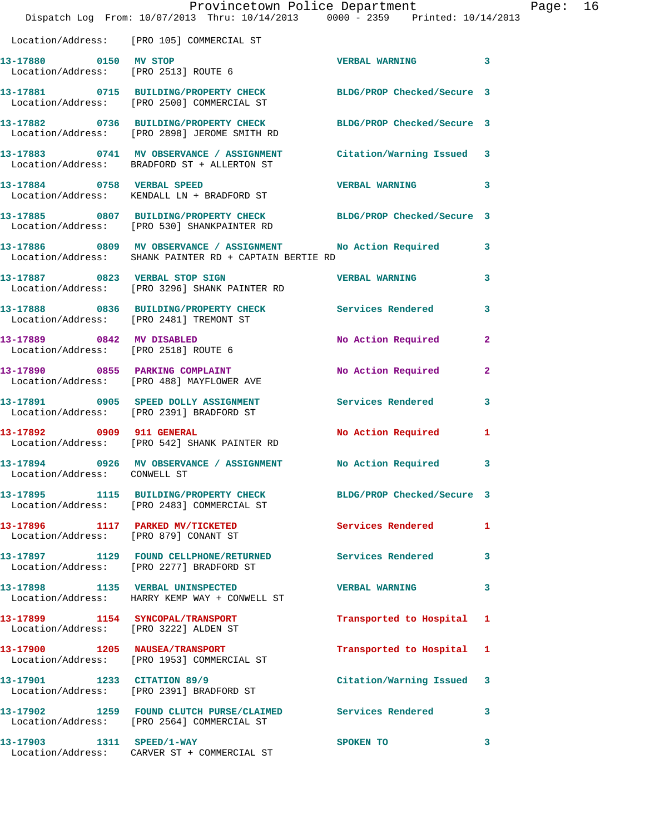|                                       | Dispatch Log From: 10/07/2013 Thru: 10/14/2013 0000 - 2359 Printed: 10/14/2013                                          | Provincetown Police Department |              | Page: 16 |  |
|---------------------------------------|-------------------------------------------------------------------------------------------------------------------------|--------------------------------|--------------|----------|--|
|                                       | Location/Address: [PRO 105] COMMERCIAL ST                                                                               |                                |              |          |  |
| 13-17880 0150 MV STOP                 | Location/Address: [PRO 2513] ROUTE 6                                                                                    | <b>VERBAL WARNING 3</b>        |              |          |  |
|                                       | 13-17881 0715 BUILDING/PROPERTY CHECK BLDG/PROP Checked/Secure 3<br>Location/Address: [PRO 2500] COMMERCIAL ST          |                                |              |          |  |
|                                       | 13-17882 0736 BUILDING/PROPERTY CHECK BLDG/PROP Checked/Secure 3<br>Location/Address: [PRO 2898] JEROME SMITH RD        |                                |              |          |  |
|                                       | 13-17883 0741 MV OBSERVANCE / ASSIGNMENT Citation/Warning Issued 3<br>Location/Address: BRADFORD ST + ALLERTON ST       |                                |              |          |  |
| 13-17884 0758 VERBAL SPEED            | Location/Address: KENDALL LN + BRADFORD ST                                                                              | VERBAL WARNING 3               |              |          |  |
|                                       | 13-17885 0807 BUILDING/PROPERTY CHECK BLDG/PROP Checked/Secure 3<br>Location/Address: [PRO 530] SHANKPAINTER RD         |                                |              |          |  |
|                                       | 13-17886 0809 MV OBSERVANCE / ASSIGNMENT No Action Required 3<br>Location/Address: SHANK PAINTER RD + CAPTAIN BERTIE RD |                                |              |          |  |
|                                       | 13-17887 0823 VERBAL STOP SIGN<br>Location/Address: [PRO 3296] SHANK PAINTER RD                                         | <b>VERBAL WARNING</b>          | $\mathbf{3}$ |          |  |
|                                       | 13-17888 0836 BUILDING/PROPERTY CHECK Services Rendered 3<br>Location/Address: [PRO 2481] TREMONT ST                    |                                |              |          |  |
|                                       | 13-17889 0842 MV DISABLED<br>Location/Address: [PRO 2518] ROUTE 6                                                       | No Action Required 2           |              |          |  |
|                                       | 13-17890 0855 PARKING COMPLAINT<br>Location/Address: [PRO 488] MAYFLOWER AVE                                            | No Action Required             | $\mathbf{2}$ |          |  |
|                                       | 13-17891 0905 SPEED DOLLY ASSIGNMENT Services Rendered 3<br>Location/Address: [PRO 2391] BRADFORD ST                    |                                |              |          |  |
|                                       | 13-17892 0909 911 GENERAL<br>Location/Address: [PRO 542] SHANK PAINTER RD                                               | No Action Required             | $\mathbf{1}$ |          |  |
| Location/Address: CONWELL ST          | 13-17894 0926 MV OBSERVANCE / ASSIGNMENT No Action Required 3                                                           |                                |              |          |  |
|                                       | 13-17895 1115 BUILDING/PROPERTY CHECK BLDG/PROP Checked/Secure 3<br>Location/Address: [PRO 2483] COMMERCIAL ST          |                                |              |          |  |
| Location/Address: [PRO 879] CONANT ST | 13-17896 1117 PARKED MV/TICKETED                                                                                        | Services Rendered              | 1            |          |  |
|                                       | 13-17897 1129 FOUND CELLPHONE/RETURNED<br>Location/Address: [PRO 2277] BRADFORD ST                                      | Services Rendered              | 3            |          |  |
|                                       | 13-17898 1135 VERBAL UNINSPECTED<br>Location/Address: HARRY KEMP WAY + CONWELL ST                                       | <b>VERBAL WARNING</b>          | 3            |          |  |
| Location/Address: [PRO 3222] ALDEN ST | 13-17899 1154 SYNCOPAL/TRANSPORT                                                                                        | Transported to Hospital 1      |              |          |  |
|                                       | 13-17900 1205 NAUSEA/TRANSPORT<br>Location/Address: [PRO 1953] COMMERCIAL ST                                            | Transported to Hospital 1      |              |          |  |
|                                       | 13-17901 1233 CITATION 89/9<br>Location/Address: [PRO 2391] BRADFORD ST                                                 | Citation/Warning Issued 3      |              |          |  |
|                                       | 13-17902 1259 FOUND CLUTCH PURSE/CLAIMED Services Rendered 3<br>Location/Address: [PRO 2564] COMMERCIAL ST              |                                |              |          |  |
|                                       | 13-17903 1311 SPEED/1-WAY<br>Location/Address: CARVER ST + COMMERCIAL ST                                                | <b>SPOKEN TO</b>               | 3            |          |  |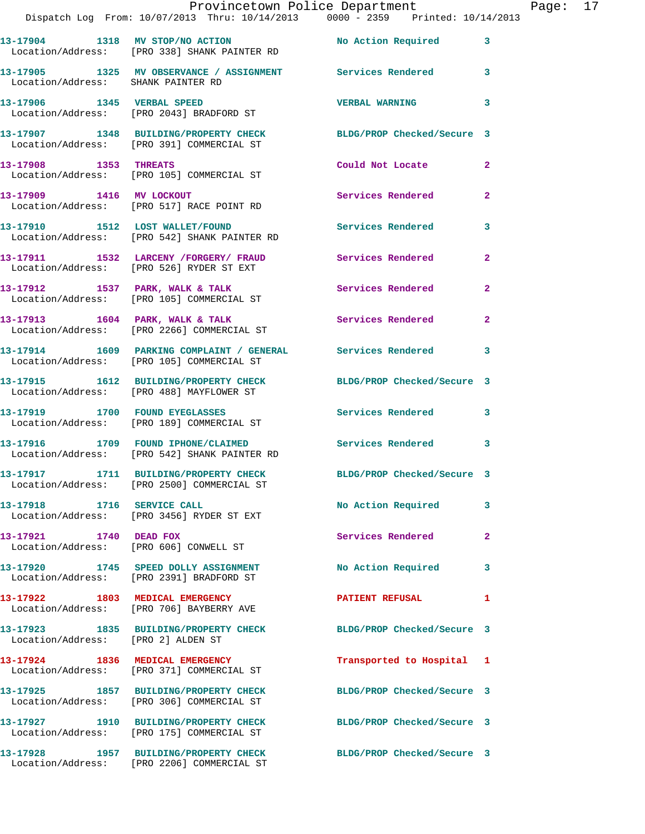|                                    | Provincetown Police Department<br>Dispatch Log From: 10/07/2013 Thru: 10/14/2013 0000 - 2359 Printed: 10/14/2013 |                            |                | Page: 17 |  |
|------------------------------------|------------------------------------------------------------------------------------------------------------------|----------------------------|----------------|----------|--|
|                                    | 13-17904 1318 MV STOP/NO ACTION No Action Required 3<br>Location/Address: [PRO 338] SHANK PAINTER RD             |                            |                |          |  |
| Location/Address: SHANK PAINTER RD | 13-17905 1325 MV OBSERVANCE / ASSIGNMENT Services Rendered 3                                                     |                            |                |          |  |
|                                    | 13-17906 1345 VERBAL SPEED<br>Location/Address: [PRO 2043] BRADFORD ST                                           | VERBAL WARNING 3           |                |          |  |
|                                    | 13-17907 1348 BUILDING/PROPERTY CHECK BLDG/PROP Checked/Secure 3<br>Location/Address: [PRO 391] COMMERCIAL ST    |                            |                |          |  |
|                                    | 13-17908 1353 THREATS<br>Location/Address: [PRO 105] COMMERCIAL ST                                               | Could Not Locate 2         |                |          |  |
|                                    | 13-17909 1416 MV LOCKOUT<br>Location/Address: [PRO 517] RACE POINT RD                                            | Services Rendered          | $\overline{2}$ |          |  |
|                                    | 13-17910 1512 LOST WALLET/FOUND Services Rendered 3<br>Location/Address: [PRO 542] SHANK PAINTER RD              |                            |                |          |  |
|                                    | 13-17911 1532 LARCENY / FORGERY / FRAUD Services Rendered<br>Location/Address: [PRO 526] RYDER ST EXT            |                            | $\mathbf{2}$   |          |  |
|                                    | 13-17912 1537 PARK, WALK & TALK Services Rendered 2<br>Location/Address: [PRO 105] COMMERCIAL ST                 |                            |                |          |  |
|                                    | 13-17913 1604 PARK, WALK & TALK 1999 Services Rendered<br>Location/Address: [PRO 2266] COMMERCIAL ST             |                            | $\mathbf{2}$   |          |  |
|                                    | 13-17914 1609 PARKING COMPLAINT / GENERAL Services Rendered 3<br>Location/Address: [PRO 105] COMMERCIAL ST       |                            |                |          |  |
|                                    | 13-17915 1612 BUILDING/PROPERTY CHECK BLDG/PROP Checked/Secure 3<br>Location/Address: [PRO 488] MAYFLOWER ST     |                            |                |          |  |
|                                    | 13-17919 1700 FOUND EYEGLASSES<br>Location/Address: [PRO 189] COMMERCIAL ST                                      | Services Rendered 3        |                |          |  |
|                                    | 13-17916 1709 FOUND IPHONE/CLAIMED Services Rendered 3<br>Location/Address: [PRO 542] SHANK PAINTER RD           |                            |                |          |  |
|                                    | 13-17917 1711 BUILDING/PROPERTY CHECK<br>Location/Address: [PRO 2500] COMMERCIAL ST                              | BLDG/PROP Checked/Secure 3 |                |          |  |
|                                    | 13-17918 1716 SERVICE CALL<br>Location/Address: [PRO 3456] RYDER ST EXT                                          | <b>No Action Required</b>  | 3              |          |  |
| 13-17921 1740 DEAD FOX             | Location/Address: [PRO 606] CONWELL ST                                                                           | Services Rendered          | $\overline{2}$ |          |  |
|                                    | 13-17920 1745 SPEED DOLLY ASSIGNMENT<br>Location/Address: [PRO 2391] BRADFORD ST                                 | No Action Required         | 3              |          |  |
|                                    | 13-17922 1803 MEDICAL EMERGENCY<br>Location/Address: [PRO 706] BAYBERRY AVE                                      | <b>PATIENT REFUSAL</b>     | 1              |          |  |
| Location/Address: [PRO 2] ALDEN ST | 13-17923 1835 BUILDING/PROPERTY CHECK BLDG/PROP Checked/Secure 3                                                 |                            |                |          |  |
|                                    | 13-17924 1836 MEDICAL EMERGENCY<br>Location/Address: [PRO 371] COMMERCIAL ST                                     | Transported to Hospital 1  |                |          |  |
|                                    | 13-17925 1857 BUILDING/PROPERTY CHECK<br>Location/Address: [PRO 306] COMMERCIAL ST                               | BLDG/PROP Checked/Secure 3 |                |          |  |
|                                    | 13-17927 1910 BUILDING/PROPERTY CHECK BLDG/PROP Checked/Secure 3<br>Location/Address: [PRO 175] COMMERCIAL ST    |                            |                |          |  |
|                                    | 13-17928 1957 BUILDING/PROPERTY CHECK<br>Location/Address: [PRO 2206] COMMERCIAL ST                              | BLDG/PROP Checked/Secure 3 |                |          |  |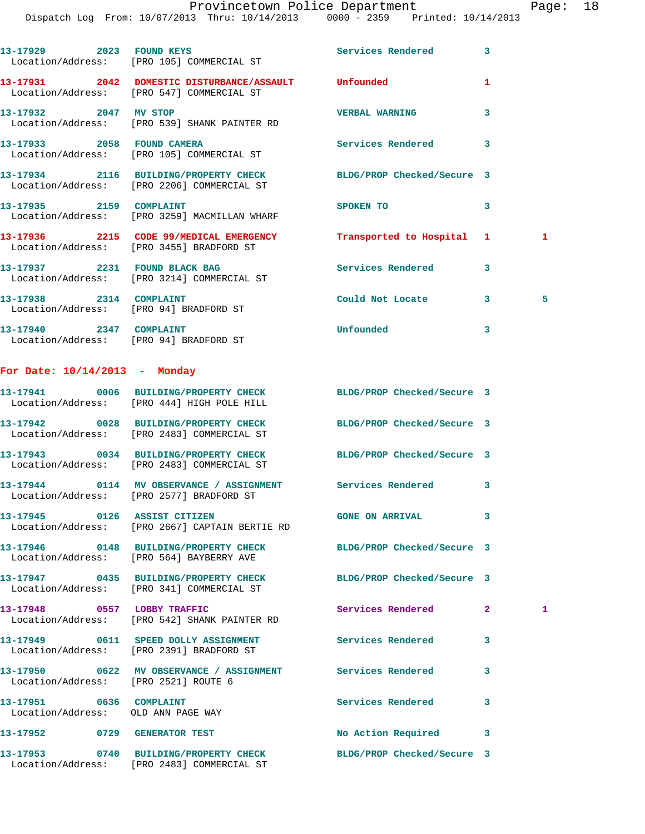Dispatch Log From: 10/07/2013 Thru: 10/14/2013 0000 - 2359 Printed: 10/14/2013

|                                                                   | 13-17929 2023 FOUND KEYS<br>Location/Address: [PRO 105] COMMERCIAL ST                                          | Services Rendered         | $\overline{\mathbf{3}}$ |              |
|-------------------------------------------------------------------|----------------------------------------------------------------------------------------------------------------|---------------------------|-------------------------|--------------|
|                                                                   | 13-17931 2042 DOMESTIC DISTURBANCE/ASSAULT Unfounded<br>Location/Address: [PRO 547] COMMERCIAL ST              |                           | 1                       |              |
| 13-17932 2047 MV STOP                                             | Location/Address: [PRO 539] SHANK PAINTER RD                                                                   | <b>VERBAL WARNING</b>     | 3                       |              |
|                                                                   | 13-17933  2058  FOUND CAMERA<br>Location/Address: [PRO 105] COMMERCIAL ST                                      | <b>Services Rendered</b>  | $\overline{\mathbf{3}}$ |              |
|                                                                   | 13-17934 2116 BUILDING/PROPERTY CHECK BLDG/PROP Checked/Secure 3<br>Location/Address: [PRO 2206] COMMERCIAL ST |                           |                         |              |
|                                                                   | 13-17935 2159 COMPLAINT<br>Location/Address: [PRO 3259] MACMILLAN WHARF                                        | SPOKEN TO                 | 3                       |              |
|                                                                   | 13-17936 2215 CODE 99/MEDICAL EMERGENCY<br>Location/Address: [PRO 3455] BRADFORD ST                            | Transported to Hospital 1 |                         | $\mathbf{1}$ |
|                                                                   | 13-17937 2231 FOUND BLACK BAG<br>Location/Address: [PRO 3214] COMMERCIAL ST                                    | Services Rendered         | 3                       |              |
| 13-17938 2314 COMPLAINT<br>Location/Address: [PRO 94] BRADFORD ST |                                                                                                                | Could Not Locate          | 3 <sup>2</sup>          | 5            |
| 13-17940 2347 COMPLAINT                                           |                                                                                                                | Unfounded                 | 3                       |              |

## **For Date: 10/14/2013 - Monday**

Location/Address: [PRO 94] BRADFORD ST

|                                                               | 13-17941 0006 BUILDING/PROPERTY CHECK BLDG/PROP Checked/Secure 3<br>Location/Address: [PRO 444] HIGH POLE HILL |                        |                         |              |
|---------------------------------------------------------------|----------------------------------------------------------------------------------------------------------------|------------------------|-------------------------|--------------|
|                                                               | 13-17942 0028 BUILDING/PROPERTY CHECK BLDG/PROP Checked/Secure 3<br>Location/Address: [PRO 2483] COMMERCIAL ST |                        |                         |              |
|                                                               | 13-17943 0034 BUILDING/PROPERTY CHECK BLDG/PROP Checked/Secure 3<br>Location/Address: [PRO 2483] COMMERCIAL ST |                        |                         |              |
|                                                               | 13-17944 0114 MV OBSERVANCE / ASSIGNMENT Services Rendered<br>Location/Address: [PRO 2577] BRADFORD ST         |                        | $\mathbf{3}$            |              |
|                                                               | 13-17945 0126 ASSIST CITIZEN<br>Location/Address: [PRO 2667] CAPTAIN BERTIE RD                                 | <b>GONE ON ARRIVAL</b> | $\overline{\mathbf{3}}$ |              |
|                                                               | 13-17946 0148 BUILDING/PROPERTY CHECK BLDG/PROP Checked/Secure 3<br>Location/Address: [PRO 564] BAYBERRY AVE   |                        |                         |              |
|                                                               | 13-17947 0435 BUILDING/PROPERTY CHECK BLDG/PROP Checked/Secure 3<br>Location/Address: [PRO 341] COMMERCIAL ST  |                        |                         |              |
| 13-17948 0557 LOBBY TRAFFIC                                   | Location/Address: [PRO 542] SHANK PAINTER RD                                                                   | Services Rendered      | 2 <sup>1</sup>          | $\mathbf{1}$ |
|                                                               | 13-17949 0611 SPEED DOLLY ASSIGNMENT Services Rendered<br>Location/Address: [PRO 2391] BRADFORD ST             |                        | $\overline{\mathbf{3}}$ |              |
| Location/Address: [PRO 2521] ROUTE 6                          | 13-17950 0622 MV OBSERVANCE / ASSIGNMENT Services Rendered                                                     |                        | $\overline{\mathbf{3}}$ |              |
| 13-17951 0636 COMPLAINT<br>Location/Address: OLD ANN PAGE WAY |                                                                                                                | Services Rendered      | $\overline{\mathbf{3}}$ |              |
|                                                               | 13-17952 0729 GENERATOR TEST                                                                                   | No Action Required     | $\mathbf{3}$            |              |
|                                                               | 13-17953 0740 BUILDING/PROPERTY CHECK BLDG/PROP Checked/Secure 3<br>Location/Address: [PRO 2483] COMMERCIAL ST |                        |                         |              |